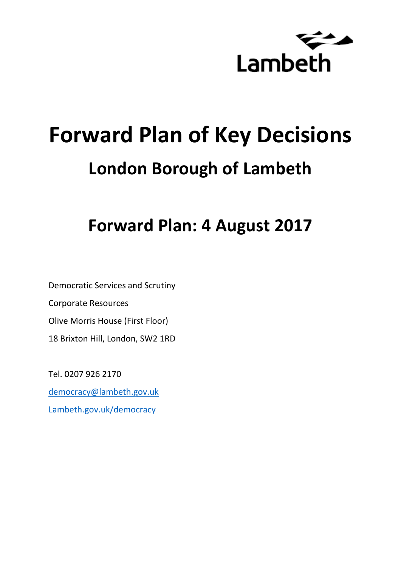

# **Forward Plan of Key Decisions London Borough of Lambeth**

# **Forward Plan: 4 August 2017**

Democratic Services and Scrutiny Corporate Resources Olive Morris House (First Floor) 18 Brixton Hill, London, SW2 1RD

Tel. 0207 926 2170 [democracy@lambeth.gov.uk](mailto:democracy@lambeth.gov.uk) [Lambeth.gov.uk/democracy](https://www.lambeth.gov.uk/elections-and-council/meetings-minutes-and-agendas/getting-involved-in-decision-making-guide)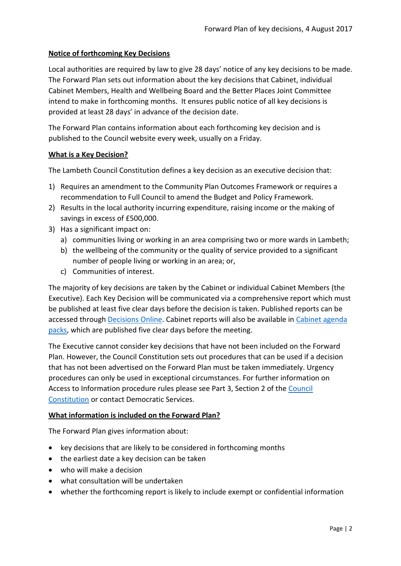#### **Notice of forthcoming Key Decisions**

Local authorities are required by law to give 28 days' notice of any key decisions to be made. The Forward Plan sets out information about the key decisions that Cabinet, individual Cabinet Members, Health and Wellbeing Board and the Better Places Joint Committee intend to make in forthcoming months. It ensures public notice of all key decisions is provided at least 28 days' in advance of the decision date.

The Forward Plan contains information about each forthcoming key decision and is published to the Council website every week, usually on a Friday.

#### **What is a Key Decision?**

The Lambeth Council Constitution defines a key decision as an executive decision that:

- 1) Requires an amendment to the Community Plan Outcomes Framework or requires a recommendation to Full Council to amend the Budget and Policy Framework.
- 2) Results in the local authority incurring expenditure, raising income or the making of savings in excess of £500,000.
- 3) Has a significant impact on:
	- a) communities living or working in an area comprising two or more wards in Lambeth;
	- b) the wellbeing of the community or the quality of service provided to a significant number of people living or working in an area; or,
	- c) Communities of interest.

The majority of key decisions are taken by the Cabinet or individual Cabinet Members (the Executive). Each Key Decision will be communicated via a comprehensive report which must be published at least five clear days before the decision is taken. Published reports can be accessed through [Decisions Online.](http://moderngov.lambeth.gov.uk/mgDelegatedDecisions.aspx?bcr=1&DM=0&DS=2&K=0&DR=&V=0) Cabinet reports will also be available in [Cabinet agenda](https://moderngov.lambeth.gov.uk/ieListMeetings.aspx?CommitteeId=225)  [packs,](https://moderngov.lambeth.gov.uk/ieListMeetings.aspx?CommitteeId=225) which are published five clear days before the meeting.

The Executive cannot consider key decisions that have not been included on the Forward Plan. However, the Council Constitution sets out procedures that can be used if a decision that has not been advertised on the Forward Plan must be taken immediately. Urgency procedures can only be used in exceptional circumstances. For further information on Access to Information procedure rules please see Part 3, Section 2 of the [Council](http://moderngov.lambeth.gov.uk/ieListMeetings.aspx?CId=738&info=1&MD=Constitution)  [Constitution](http://moderngov.lambeth.gov.uk/ieListMeetings.aspx?CId=738&info=1&MD=Constitution) or contact Democratic Services.

#### **What information is included on the Forward Plan?**

The Forward Plan gives information about:

- key decisions that are likely to be considered in forthcoming months
- the earliest date a key decision can be taken
- who will make a decision
- what consultation will be undertaken
- whether the forthcoming report is likely to include exempt or confidential information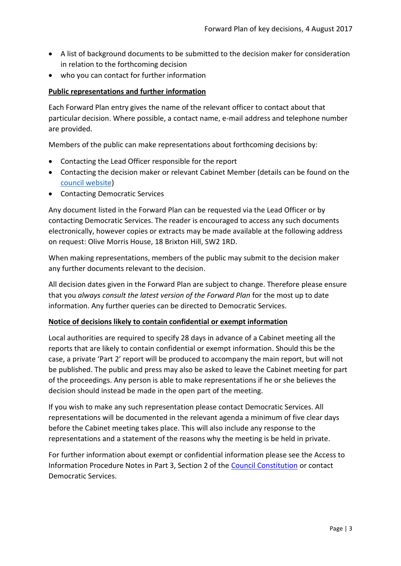- A list of background documents to be submitted to the decision maker for consideration in relation to the forthcoming decision
- who you can contact for further information

#### **Public representations and further information**

Each Forward Plan entry gives the name of the relevant officer to contact about that particular decision. Where possible, a contact name, e-mail address and telephone number are provided.

Members of the public can make representations about forthcoming decisions by:

- Contacting the Lead Officer responsible for the report
- Contacting the decision maker or relevant Cabinet Member (details can be found on the [council website\)](http://moderngov.lambeth.gov.uk/mgMemberIndex.aspx?bcr=1)
- Contacting Democratic Services

Any document listed in the Forward Plan can be requested via the Lead Officer or by contacting Democratic Services. The reader is encouraged to access any such documents electronically, however copies or extracts may be made available at the following address on request: Olive Morris House, 18 Brixton Hill, SW2 1RD.

When making representations, members of the public may submit to the decision maker any further documents relevant to the decision.

All decision dates given in the Forward Plan are subject to change. Therefore please ensure that you *always consult the latest version of the Forward Plan* for the most up to date information. Any further queries can be directed to Democratic Services.

#### **Notice of decisions likely to contain confidential or exempt information**

Local authorities are required to specify 28 days in advance of a Cabinet meeting all the reports that are likely to contain confidential or exempt information. Should this be the case, a private 'Part 2' report will be produced to accompany the main report, but will not be published. The public and press may also be asked to leave the Cabinet meeting for part of the proceedings. Any person is able to make representations if he or she believes the decision should instead be made in the open part of the meeting.

If you wish to make any such representation please contact Democratic Services. All representations will be documented in the relevant agenda a minimum of five clear days before the Cabinet meeting takes place. This will also include any response to the representations and a statement of the reasons why the meeting is be held in private.

For further information about exempt or confidential information please see the Access to Information Procedure Notes in Part 3, Section 2 of the [Council Constitution](http://www.lambeth.gov.uk/sites/default/files/ec-Council-Constitution-2014-15-approved-with-changes-November-2014.pdf) or contact Democratic Services.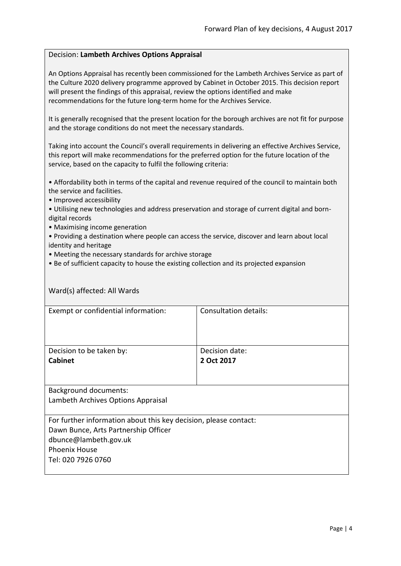#### Decision: **Lambeth Archives Options Appraisal**

An Options Appraisal has recently been commissioned for the Lambeth Archives Service as part of the Culture 2020 delivery programme approved by Cabinet in October 2015. This decision report will present the findings of this appraisal, review the options identified and make recommendations for the future long-term home for the Archives Service.

It is generally recognised that the present location for the borough archives are not fit for purpose and the storage conditions do not meet the necessary standards.

Taking into account the Council's overall requirements in delivering an effective Archives Service, this report will make recommendations for the preferred option for the future location of the service, based on the capacity to fulfil the following criteria:

• Affordability both in terms of the capital and revenue required of the council to maintain both the service and facilities.

- Improved accessibility
- Utilising new technologies and address preservation and storage of current digital and borndigital records
- Maximising income generation
- Providing a destination where people can access the service, discover and learn about local identity and heritage
- Meeting the necessary standards for archive storage
- Be of sufficient capacity to house the existing collection and its projected expansion

| Ward(s) affected: All Wards                                                                                                                                                     |                              |  |
|---------------------------------------------------------------------------------------------------------------------------------------------------------------------------------|------------------------------|--|
| Exempt or confidential information:                                                                                                                                             | <b>Consultation details:</b> |  |
| Decision to be taken by:<br><b>Cabinet</b>                                                                                                                                      | Decision date:<br>2 Oct 2017 |  |
| <b>Background documents:</b><br>Lambeth Archives Options Appraisal                                                                                                              |                              |  |
| For further information about this key decision, please contact:<br>Dawn Bunce, Arts Partnership Officer<br>dbunce@lambeth.gov.uk<br><b>Phoenix House</b><br>Tel: 020 7926 0760 |                              |  |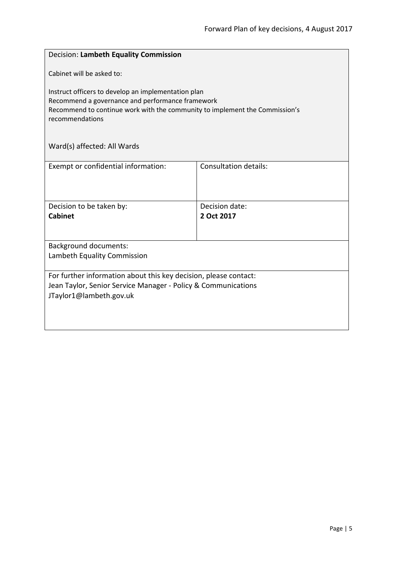| Decision: Lambeth Equality Commission                                                                                                                        |                              |  |
|--------------------------------------------------------------------------------------------------------------------------------------------------------------|------------------------------|--|
| Cabinet will be asked to:<br>Instruct officers to develop an implementation plan                                                                             |                              |  |
| Recommend a governance and performance framework<br>Recommend to continue work with the community to implement the Commission's<br>recommendations           |                              |  |
| Ward(s) affected: All Wards                                                                                                                                  |                              |  |
| Exempt or confidential information:                                                                                                                          | <b>Consultation details:</b> |  |
| Decision to be taken by:<br><b>Cabinet</b>                                                                                                                   | Decision date:<br>2 Oct 2017 |  |
| <b>Background documents:</b><br>Lambeth Equality Commission                                                                                                  |                              |  |
| For further information about this key decision, please contact:<br>Jean Taylor, Senior Service Manager - Policy & Communications<br>JTaylor1@lambeth.gov.uk |                              |  |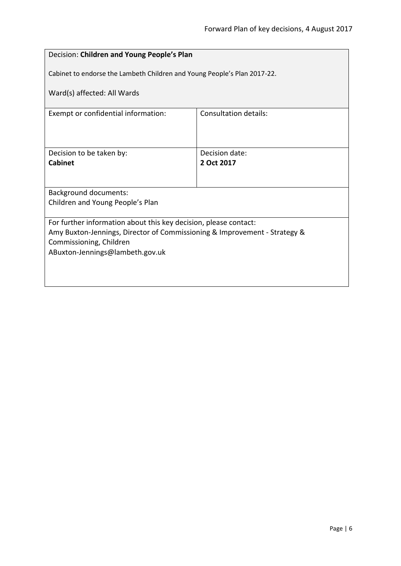| Decision: Children and Young People's Plan                                |                                                                          |  |
|---------------------------------------------------------------------------|--------------------------------------------------------------------------|--|
|                                                                           | Cabinet to endorse the Lambeth Children and Young People's Plan 2017-22. |  |
| Ward(s) affected: All Wards                                               |                                                                          |  |
| Exempt or confidential information:                                       | Consultation details:                                                    |  |
|                                                                           |                                                                          |  |
| Decision to be taken by:                                                  | Decision date:                                                           |  |
| <b>Cabinet</b>                                                            | 2 Oct 2017                                                               |  |
|                                                                           |                                                                          |  |
| <b>Background documents:</b>                                              |                                                                          |  |
| Children and Young People's Plan                                          |                                                                          |  |
| For further information about this key decision, please contact:          |                                                                          |  |
| Amy Buxton-Jennings, Director of Commissioning & Improvement - Strategy & |                                                                          |  |
| Commissioning, Children<br>ABuxton-Jennings@lambeth.gov.uk                |                                                                          |  |
|                                                                           |                                                                          |  |
|                                                                           |                                                                          |  |
|                                                                           |                                                                          |  |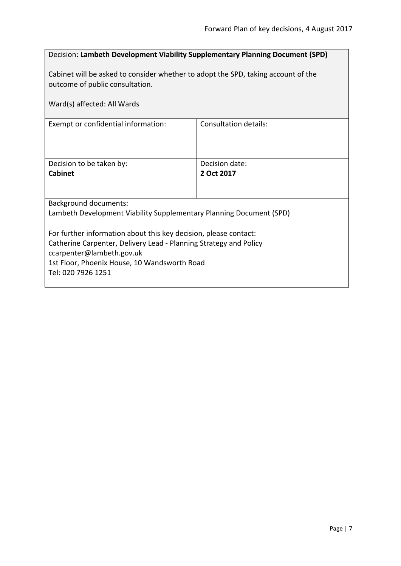| Decision: Lambeth Development Viability Supplementary Planning Document (SPD)                                                                                                                                                            |                              |  |
|------------------------------------------------------------------------------------------------------------------------------------------------------------------------------------------------------------------------------------------|------------------------------|--|
| Cabinet will be asked to consider whether to adopt the SPD, taking account of the<br>outcome of public consultation.                                                                                                                     |                              |  |
| Ward(s) affected: All Wards                                                                                                                                                                                                              |                              |  |
| Exempt or confidential information:                                                                                                                                                                                                      | <b>Consultation details:</b> |  |
| Decision to be taken by:<br>Cabinet                                                                                                                                                                                                      | Decision date:<br>2 Oct 2017 |  |
| <b>Background documents:</b><br>Lambeth Development Viability Supplementary Planning Document (SPD)                                                                                                                                      |                              |  |
| For further information about this key decision, please contact:<br>Catherine Carpenter, Delivery Lead - Planning Strategy and Policy<br>ccarpenter@lambeth.gov.uk<br>1st Floor, Phoenix House, 10 Wandsworth Road<br>Tel: 020 7926 1251 |                              |  |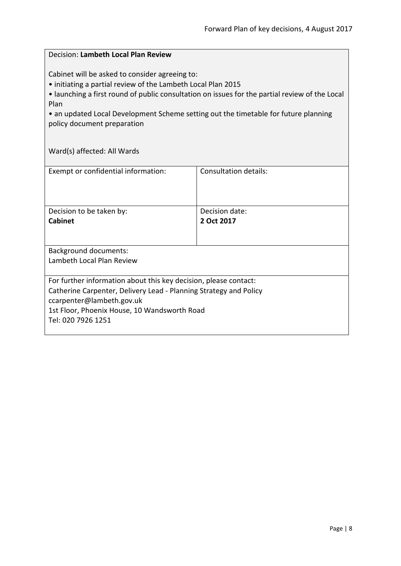#### Decision: **Lambeth Local Plan Review**

Cabinet will be asked to consider agreeing to:

• initiating a partial review of the Lambeth Local Plan 2015

• launching a first round of public consultation on issues for the partial review of the Local Plan

• an updated Local Development Scheme setting out the timetable for future planning policy document preparation

| Exempt or confidential information:                               | Consultation details: |
|-------------------------------------------------------------------|-----------------------|
|                                                                   |                       |
| Decision to be taken by:                                          | Decision date:        |
| <b>Cabinet</b>                                                    | 2 Oct 2017            |
|                                                                   |                       |
| <b>Background documents:</b>                                      |                       |
| Lambeth Local Plan Review                                         |                       |
|                                                                   |                       |
| For further information about this key decision, please contact:  |                       |
| Catherine Carpenter, Delivery Lead - Planning Strategy and Policy |                       |
| ccarpenter@lambeth.gov.uk                                         |                       |
| 1st Floor, Phoenix House, 10 Wandsworth Road                      |                       |
| Tel: 020 7926 1251                                                |                       |
|                                                                   |                       |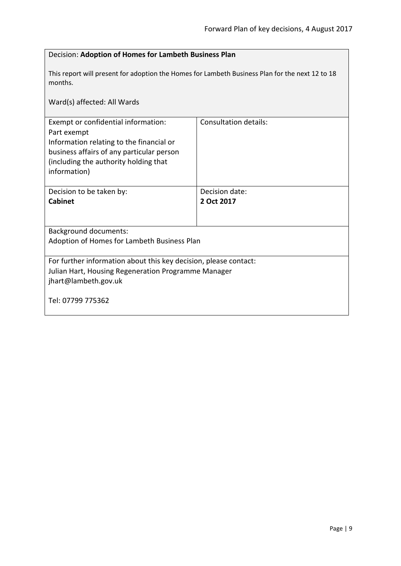| Decision: Adoption of Homes for Lambeth Business Plan                                                                                                                                                |                              |  |
|------------------------------------------------------------------------------------------------------------------------------------------------------------------------------------------------------|------------------------------|--|
| This report will present for adoption the Homes for Lambeth Business Plan for the next 12 to 18<br>months.                                                                                           |                              |  |
| Ward(s) affected: All Wards                                                                                                                                                                          |                              |  |
| Exempt or confidential information:<br>Part exempt<br>Information relating to the financial or<br>business affairs of any particular person<br>(including the authority holding that<br>information) | <b>Consultation details:</b> |  |
| Decision to be taken by:<br><b>Cabinet</b>                                                                                                                                                           | Decision date:<br>2 Oct 2017 |  |
| <b>Background documents:</b>                                                                                                                                                                         |                              |  |
| Adoption of Homes for Lambeth Business Plan                                                                                                                                                          |                              |  |
| For further information about this key decision, please contact:<br>Julian Hart, Housing Regeneration Programme Manager<br>jhart@lambeth.gov.uk                                                      |                              |  |
| Tel: 07799 775362                                                                                                                                                                                    |                              |  |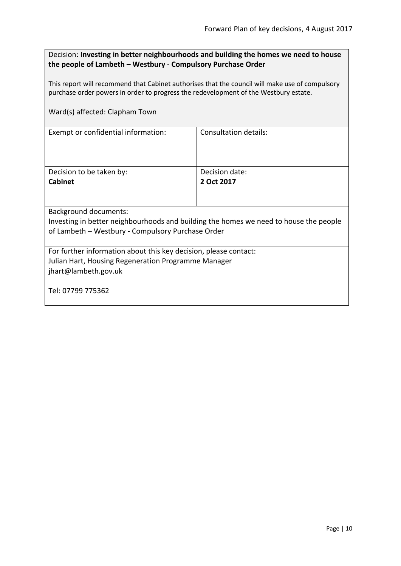#### Decision: **Investing in better neighbourhoods and building the homes we need to house the people of Lambeth – Westbury - Compulsory Purchase Order**

This report will recommend that Cabinet authorises that the council will make use of compulsory purchase order powers in order to progress the redevelopment of the Westbury estate.

Ward(s) affected: Clapham Town

| Exempt or confidential information:        | Consultation details:        |
|--------------------------------------------|------------------------------|
| Decision to be taken by:<br><b>Cabinet</b> | Decision date:<br>2 Oct 2017 |
| <b>Background documents:</b>               |                              |

Investing in better neighbourhoods and building the homes we need to house the people of Lambeth – Westbury - Compulsory Purchase Order

For further information about this key decision, please contact: Julian Hart, Housing Regeneration Programme Manager jhart@lambeth.gov.uk

Tel: 07799 775362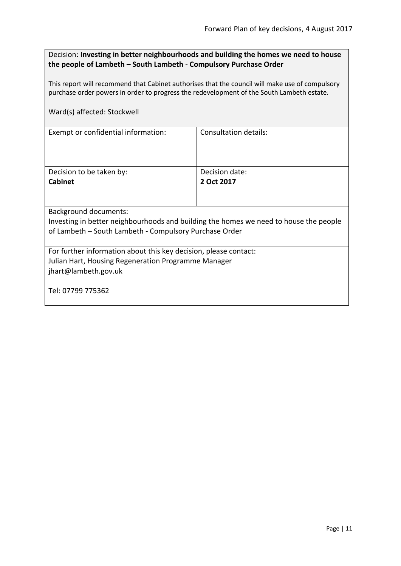#### Decision: **Investing in better neighbourhoods and building the homes we need to house the people of Lambeth – South Lambeth - Compulsory Purchase Order**

This report will recommend that Cabinet authorises that the council will make use of compulsory purchase order powers in order to progress the redevelopment of the South Lambeth estate.

Ward(s) affected: Stockwell

| Exempt or confidential information:                                                                                                                                                                                                                                                                                                                                                                                            | Consultation details: |
|--------------------------------------------------------------------------------------------------------------------------------------------------------------------------------------------------------------------------------------------------------------------------------------------------------------------------------------------------------------------------------------------------------------------------------|-----------------------|
|                                                                                                                                                                                                                                                                                                                                                                                                                                |                       |
|                                                                                                                                                                                                                                                                                                                                                                                                                                |                       |
| Decision to be taken by:                                                                                                                                                                                                                                                                                                                                                                                                       | Decision date:        |
| <b>Cabinet</b>                                                                                                                                                                                                                                                                                                                                                                                                                 | 2 Oct 2017            |
|                                                                                                                                                                                                                                                                                                                                                                                                                                |                       |
|                                                                                                                                                                                                                                                                                                                                                                                                                                |                       |
| <b>Background documents:</b>                                                                                                                                                                                                                                                                                                                                                                                                   |                       |
| $\mathbf{r} = \mathbf{r} \cdot \mathbf{r} + \mathbf{r} \cdot \mathbf{r} + \mathbf{r} + \mathbf{r} + \mathbf{r} + \mathbf{r} + \mathbf{r} + \mathbf{r} + \mathbf{r} + \mathbf{r} + \mathbf{r} + \mathbf{r} + \mathbf{r} + \mathbf{r} + \mathbf{r} + \mathbf{r} + \mathbf{r} + \mathbf{r} + \mathbf{r} + \mathbf{r} + \mathbf{r} + \mathbf{r} + \mathbf{r} + \mathbf{r} + \mathbf{r} + \mathbf{r} + \mathbf{r} + \mathbf{r} + \$ |                       |

Investing in better neighbourhoods and building the homes we need to house the people of Lambeth – South Lambeth - Compulsory Purchase Order

For further information about this key decision, please contact: Julian Hart, Housing Regeneration Programme Manager jhart@lambeth.gov.uk

Tel: 07799 775362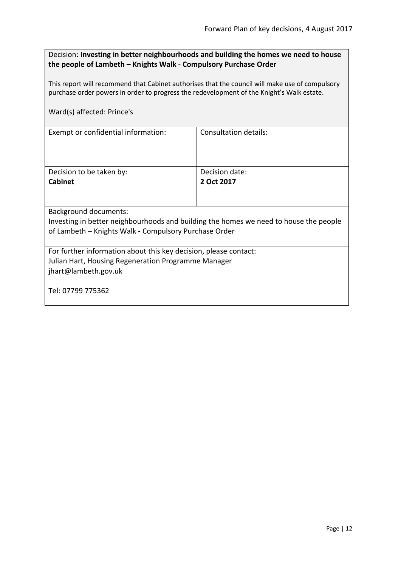| Decision: Investing in better neighbourhoods and building the homes we need to house |
|--------------------------------------------------------------------------------------|
| the people of Lambeth - Knights Walk - Compulsory Purchase Order                     |

This report will recommend that Cabinet authorises that the council will make use of compulsory purchase order powers in order to progress the redevelopment of the Knight's Walk estate.

Ward(s) affected: Prince's

| Exempt or confidential information:                                                   | Consultation details: |
|---------------------------------------------------------------------------------------|-----------------------|
|                                                                                       |                       |
|                                                                                       |                       |
|                                                                                       |                       |
| Decision to be taken by:                                                              | Decision date:        |
| <b>Cabinet</b>                                                                        | 2 Oct 2017            |
|                                                                                       |                       |
|                                                                                       |                       |
| <b>Background documents:</b>                                                          |                       |
| Investing in better neighbourhoods and building the homes we need to house the people |                       |
| of Lambeth - Knights Walk - Compulsory Purchase Order                                 |                       |

For further information about this key decision, please contact: Julian Hart, Housing Regeneration Programme Manager jhart@lambeth.gov.uk

Tel: 07799 775362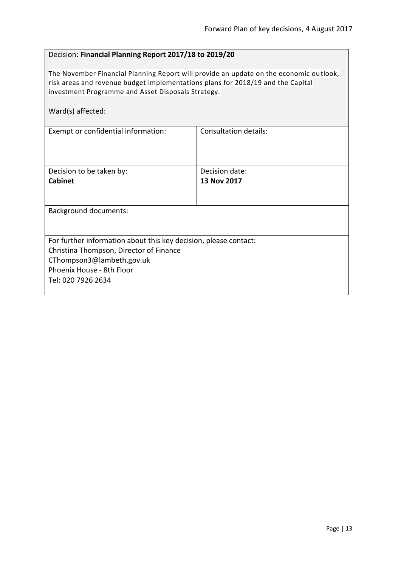#### Decision: **Financial Planning Report 2017/18 to 2019/20**

The November Financial Planning Report will provide an update on the economic outlook, risk areas and revenue budget implementations plans for 2018/19 and the Capital investment Programme and Asset Disposals Strategy.

Ward(s) affected:

| Exempt or confidential information:                              | Consultation details: |
|------------------------------------------------------------------|-----------------------|
|                                                                  |                       |
|                                                                  |                       |
| Decision to be taken by:                                         | Decision date:        |
| <b>Cabinet</b>                                                   | 13 Nov 2017           |
|                                                                  |                       |
|                                                                  |                       |
| <b>Background documents:</b>                                     |                       |
|                                                                  |                       |
|                                                                  |                       |
| For further information about this key decision, please contact: |                       |
| Christina Thompson, Director of Finance                          |                       |
| CThompson3@lambeth.gov.uk                                        |                       |
| Phoenix House - 8th Floor                                        |                       |
| Tel: 020 7926 2634                                               |                       |
|                                                                  |                       |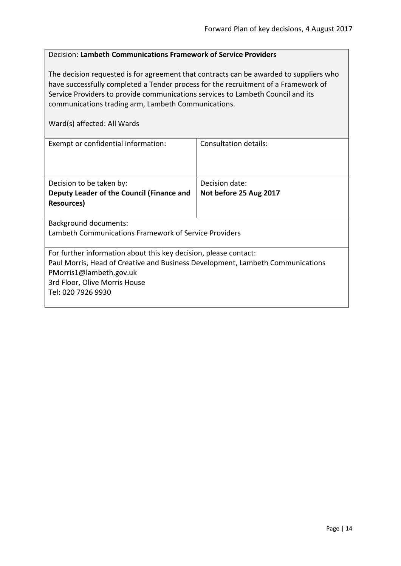#### Decision: **Lambeth Communications Framework of Service Providers**

The decision requested is for agreement that contracts can be awarded to suppliers who have successfully completed a Tender process for the recruitment of a Framework of Service Providers to provide communications services to Lambeth Council and its communications trading arm, Lambeth Communications.

| Consultation details:                                                          |  |  |
|--------------------------------------------------------------------------------|--|--|
|                                                                                |  |  |
|                                                                                |  |  |
|                                                                                |  |  |
| Decision date:                                                                 |  |  |
| Not before 25 Aug 2017                                                         |  |  |
|                                                                                |  |  |
|                                                                                |  |  |
| Background documents:                                                          |  |  |
| Lambeth Communications Framework of Service Providers                          |  |  |
|                                                                                |  |  |
| For further information about this key decision, please contact:               |  |  |
| Paul Morris, Head of Creative and Business Development, Lambeth Communications |  |  |
|                                                                                |  |  |
|                                                                                |  |  |
|                                                                                |  |  |
|                                                                                |  |  |
|                                                                                |  |  |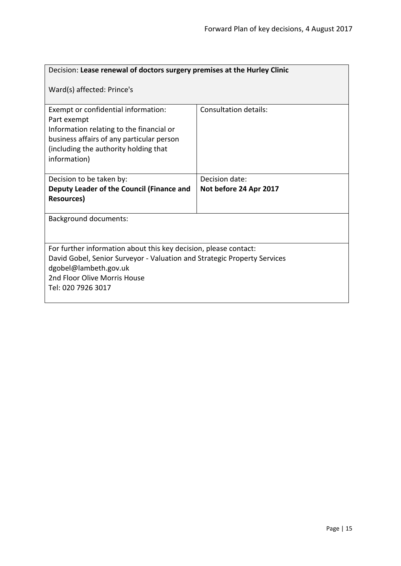| Decision: Lease renewal of doctors surgery premises at the Hurley Clinic                                                                                                                                                    |                        |  |
|-----------------------------------------------------------------------------------------------------------------------------------------------------------------------------------------------------------------------------|------------------------|--|
| Ward(s) affected: Prince's                                                                                                                                                                                                  |                        |  |
| Exempt or confidential information:<br>Part exempt<br>Information relating to the financial or<br>business affairs of any particular person<br>(including the authority holding that<br>information)                        | Consultation details:  |  |
| Decision to be taken by:                                                                                                                                                                                                    | Decision date:         |  |
| Deputy Leader of the Council (Finance and                                                                                                                                                                                   | Not before 24 Apr 2017 |  |
| <b>Resources)</b>                                                                                                                                                                                                           |                        |  |
| <b>Background documents:</b>                                                                                                                                                                                                |                        |  |
| For further information about this key decision, please contact:<br>David Gobel, Senior Surveyor - Valuation and Strategic Property Services<br>dgobel@lambeth.gov.uk<br>2nd Floor Olive Morris House<br>Tel: 020 7926 3017 |                        |  |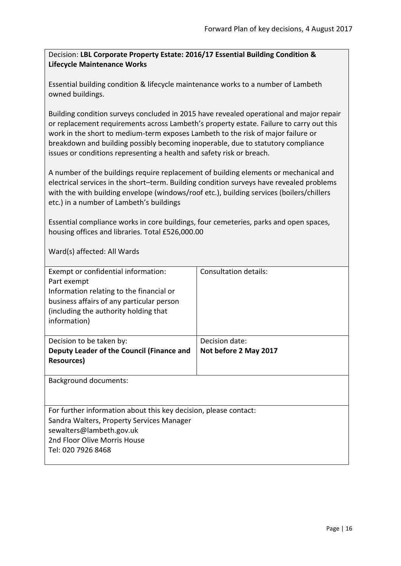Decision: **LBL Corporate Property Estate: 2016/17 Essential Building Condition & Lifecycle Maintenance Works**

Essential building condition & lifecycle maintenance works to a number of Lambeth owned buildings.

Building condition surveys concluded in 2015 have revealed operational and major repair or replacement requirements across Lambeth's property estate. Failure to carry out this work in the short to medium-term exposes Lambeth to the risk of major failure or breakdown and building possibly becoming inoperable, due to statutory compliance issues or conditions representing a health and safety risk or breach.

A number of the buildings require replacement of building elements or mechanical and electrical services in the short–term. Building condition surveys have revealed problems with the with building envelope (windows/roof etc.), building services (boilers/chillers etc.) in a number of Lambeth's buildings

Essential compliance works in core buildings, four cemeteries, parks and open spaces, housing offices and libraries. Total £526,000.00

| Exempt or confidential information:<br>Part exempt<br>Information relating to the financial or<br>business affairs of any particular person<br>(including the authority holding that<br>information) | Consultation details: |
|------------------------------------------------------------------------------------------------------------------------------------------------------------------------------------------------------|-----------------------|
| Decision to be taken by:                                                                                                                                                                             | Decision date:        |
| Deputy Leader of the Council (Finance and                                                                                                                                                            | Not before 2 May 2017 |
| <b>Resources</b> )                                                                                                                                                                                   |                       |
|                                                                                                                                                                                                      |                       |
| <b>Background documents:</b>                                                                                                                                                                         |                       |
|                                                                                                                                                                                                      |                       |
| For further information about this key decision, please contact:                                                                                                                                     |                       |
| Sandra Walters, Property Services Manager                                                                                                                                                            |                       |
| sewalters@lambeth.gov.uk                                                                                                                                                                             |                       |
| 2nd Floor Olive Morris House                                                                                                                                                                         |                       |
| Tel: 020 7926 8468                                                                                                                                                                                   |                       |
|                                                                                                                                                                                                      |                       |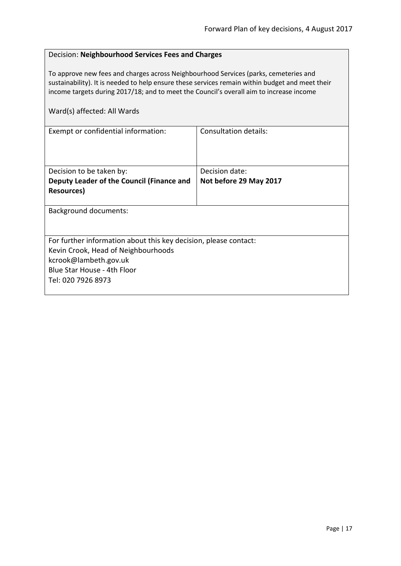#### Decision: **Neighbourhood Services Fees and Charges**

To approve new fees and charges across Neighbourhood Services (parks, cemeteries and sustainability). It is needed to help ensure these services remain within budget and meet their income targets during 2017/18; and to meet the Council's overall aim to increase income

| Exempt or confidential information:                              | Consultation details:  |  |
|------------------------------------------------------------------|------------------------|--|
|                                                                  |                        |  |
|                                                                  |                        |  |
|                                                                  |                        |  |
| Decision to be taken by:                                         | Decision date:         |  |
| Deputy Leader of the Council (Finance and                        | Not before 29 May 2017 |  |
| Resources)                                                       |                        |  |
|                                                                  |                        |  |
| <b>Background documents:</b>                                     |                        |  |
|                                                                  |                        |  |
|                                                                  |                        |  |
| For further information about this key decision, please contact: |                        |  |
| Kevin Crook, Head of Neighbourhoods                              |                        |  |
| kcrook@lambeth.gov.uk                                            |                        |  |
| Blue Star House - 4th Floor                                      |                        |  |
| Tel: 020 7926 8973                                               |                        |  |
|                                                                  |                        |  |
|                                                                  |                        |  |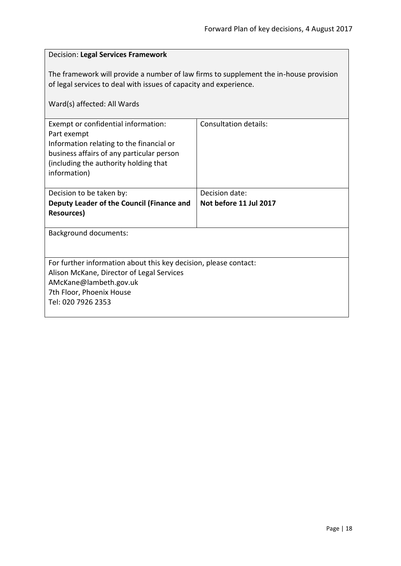#### Decision: **Legal Services Framework**

The framework will provide a number of law firms to supplement the in-house provision of legal services to deal with issues of capacity and experience.

| Exempt or confidential information:<br>Part exempt<br>Information relating to the financial or<br>business affairs of any particular person<br>(including the authority holding that)<br>information) | <b>Consultation details:</b> |  |
|-------------------------------------------------------------------------------------------------------------------------------------------------------------------------------------------------------|------------------------------|--|
| Decision to be taken by:                                                                                                                                                                              | Decision date:               |  |
| Deputy Leader of the Council (Finance and                                                                                                                                                             | Not before 11 Jul 2017       |  |
| <b>Resources)</b>                                                                                                                                                                                     |                              |  |
|                                                                                                                                                                                                       |                              |  |
| <b>Background documents:</b>                                                                                                                                                                          |                              |  |
| For further information about this key decision, please contact:                                                                                                                                      |                              |  |
| Alison McKane, Director of Legal Services                                                                                                                                                             |                              |  |
| AMcKane@lambeth.gov.uk                                                                                                                                                                                |                              |  |
| 7th Floor, Phoenix House                                                                                                                                                                              |                              |  |
| Tel: 020 7926 2353                                                                                                                                                                                    |                              |  |
|                                                                                                                                                                                                       |                              |  |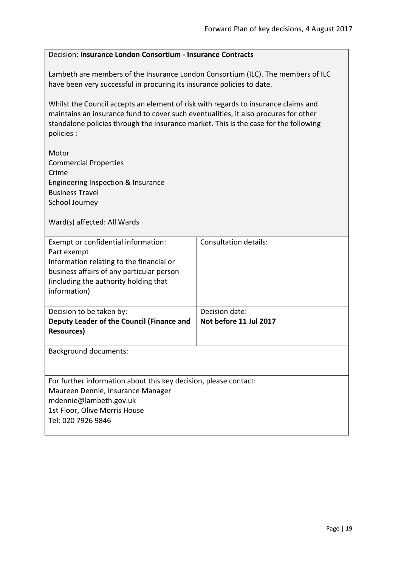### Decision: **Insurance London Consortium - Insurance Contracts** Lambeth are members of the Insurance London Consortium (ILC). The members of ILC have been very successful in procuring its insurance policies to date. Whilst the Council accepts an element of risk with regards to insurance claims and maintains an insurance fund to cover such eventualities, it also procures for other standalone policies through the insurance market. This is the case for the following policies : Motor Commercial Properties Crime Engineering Inspection & Insurance Business Travel School Journey Ward(s) affected: All Wards Exempt or confidential information: Part exempt Information relating to the financial or business affairs of any particular person (including the authority holding that information) Consultation details: Decision to be taken by: **Deputy Leader of the Council (Finance and Resources)** Decision date: **Not before 11 Jul 2017** Background documents: For further information about this key decision, please contact: Maureen Dennie, Insurance Manager mdennie@lambeth.gov.uk 1st Floor, Olive Morris House Tel: 020 7926 9846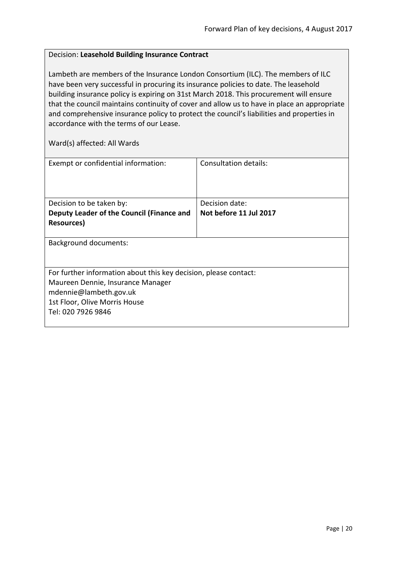#### Decision: **Leasehold Building Insurance Contract**

Lambeth are members of the Insurance London Consortium (ILC). The members of ILC have been very successful in procuring its insurance policies to date. The leasehold building insurance policy is expiring on 31st March 2018. This procurement will ensure that the council maintains continuity of cover and allow us to have in place an appropriate and comprehensive insurance policy to protect the council's liabilities and properties in accordance with the terms of our Lease.

| Exempt or confidential information:                              | Consultation details:  |
|------------------------------------------------------------------|------------------------|
|                                                                  |                        |
|                                                                  |                        |
| Decision to be taken by:                                         | Decision date:         |
| Deputy Leader of the Council (Finance and                        | Not before 11 Jul 2017 |
| Resources)                                                       |                        |
|                                                                  |                        |
| <b>Background documents:</b>                                     |                        |
|                                                                  |                        |
|                                                                  |                        |
| For further information about this key decision, please contact: |                        |
| Maureen Dennie, Insurance Manager                                |                        |
| mdennie@lambeth.gov.uk                                           |                        |
| 1st Floor, Olive Morris House                                    |                        |
| Tel: 020 7926 9846                                               |                        |
|                                                                  |                        |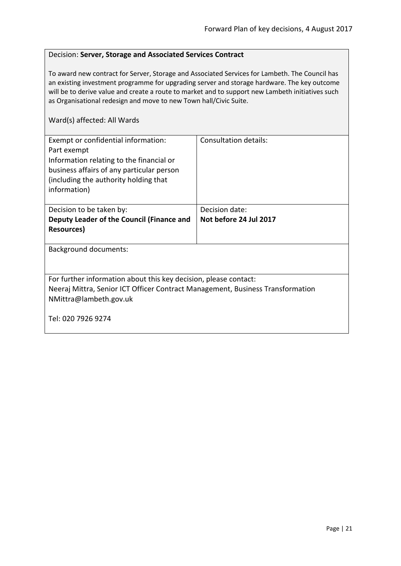#### Decision: **Server, Storage and Associated Services Contract**

To award new contract for Server, Storage and Associated Services for Lambeth. The Council has an existing investment programme for upgrading server and storage hardware. The key outcome will be to derive value and create a route to market and to support new Lambeth initiatives such as Organisational redesign and move to new Town hall/Civic Suite.

| Exempt or confidential information:<br>Part exempt<br>Information relating to the financial or<br>business affairs of any particular person<br>(including the authority holding that)<br>information) | <b>Consultation details:</b> |  |
|-------------------------------------------------------------------------------------------------------------------------------------------------------------------------------------------------------|------------------------------|--|
| Decision to be taken by:                                                                                                                                                                              | Decision date:               |  |
| Deputy Leader of the Council (Finance and                                                                                                                                                             | Not before 24 Jul 2017       |  |
| Resources)                                                                                                                                                                                            |                              |  |
| <b>Background documents:</b>                                                                                                                                                                          |                              |  |
| For further information about this key decision, please contact:<br>Neeraj Mittra, Senior ICT Officer Contract Management, Business Transformation<br>NMittra@lambeth.gov.uk                          |                              |  |
| Tel: 020 7926 9274                                                                                                                                                                                    |                              |  |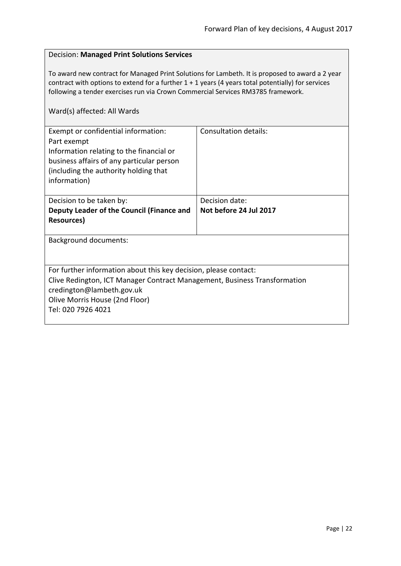#### Decision: **Managed Print Solutions Services**

To award new contract for Managed Print Solutions for Lambeth. It is proposed to award a 2 year contract with options to extend for a further 1 + 1 years (4 years total potentially) for services following a tender exercises run via Crown Commercial Services RM3785 framework.

| Exempt or confidential information:<br>Part exempt<br>Information relating to the financial or<br>business affairs of any particular person<br>(including the authority holding that<br>information) | Consultation details:  |
|------------------------------------------------------------------------------------------------------------------------------------------------------------------------------------------------------|------------------------|
| Decision to be taken by:                                                                                                                                                                             | Decision date:         |
| Deputy Leader of the Council (Finance and                                                                                                                                                            | Not before 24 Jul 2017 |
| <b>Resources</b> )                                                                                                                                                                                   |                        |
|                                                                                                                                                                                                      |                        |
| <b>Background documents:</b>                                                                                                                                                                         |                        |
| For further information about this key decision, please contact:                                                                                                                                     |                        |
| Clive Redington, ICT Manager Contract Management, Business Transformation<br>credington@lambeth.gov.uk                                                                                               |                        |
| Olive Morris House (2nd Floor)                                                                                                                                                                       |                        |
| Tel: 020 7926 4021                                                                                                                                                                                   |                        |
|                                                                                                                                                                                                      |                        |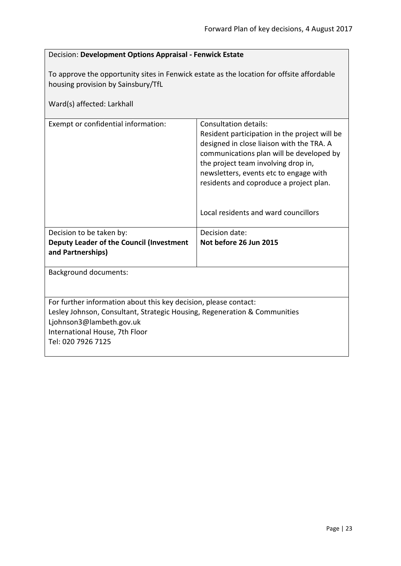## Decision: **Development Options Appraisal - Fenwick Estate** To approve the opportunity sites in Fenwick estate as the location for offsite affordable housing provision by Sainsbury/TfL Ward(s) affected: Larkhall Exempt or confidential information: Consultation details: Resident participation in the project will be designed in close liaison with the TRA. A communications plan will be developed by the project team involving drop in, newsletters, events etc to engage with residents and coproduce a project plan. Local residents and ward councillors Decision to be taken by: **Deputy Leader of the Council (Investment and Partnerships)** Decision date: **Not before 26 Jun 2015** Background documents: For further information about this key decision, please contact: Lesley Johnson, Consultant, Strategic Housing, Regeneration & Communities Ljohnson3@lambeth.gov.uk International House, 7th Floor Tel: 020 7926 7125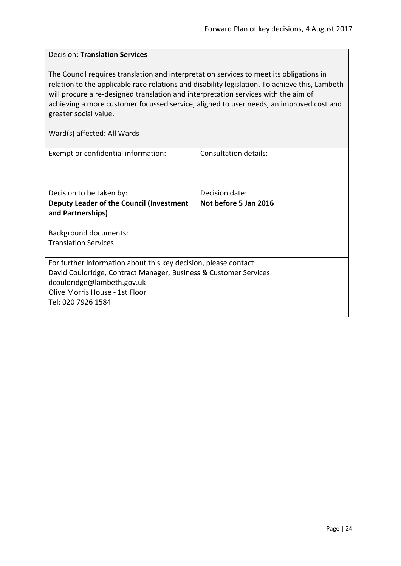#### Decision: **Translation Services**

The Council requires translation and interpretation services to meet its obligations in relation to the applicable race relations and disability legislation. To achieve this, Lambeth will procure a re-designed translation and interpretation services with the aim of achieving a more customer focussed service, aligned to user needs, an improved cost and greater social value.

| Exempt or confidential information:                              | Consultation details: |  |
|------------------------------------------------------------------|-----------------------|--|
| Decision to be taken by:                                         | Decision date:        |  |
| Deputy Leader of the Council (Investment                         | Not before 5 Jan 2016 |  |
| and Partnerships)                                                |                       |  |
| <b>Background documents:</b>                                     |                       |  |
| <b>Translation Services</b>                                      |                       |  |
| For further information about this key decision, please contact: |                       |  |
| David Couldridge, Contract Manager, Business & Customer Services |                       |  |
| dcouldridge@lambeth.gov.uk                                       |                       |  |
| Olive Morris House - 1st Floor                                   |                       |  |
| Tel: 020 7926 1584                                               |                       |  |
|                                                                  |                       |  |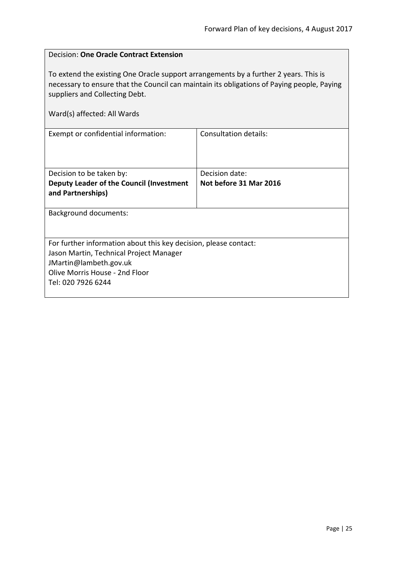| Decision: One Oracle Contract Extension                                              |                                                                                            |  |
|--------------------------------------------------------------------------------------|--------------------------------------------------------------------------------------------|--|
|                                                                                      |                                                                                            |  |
| To extend the existing One Oracle support arrangements by a further 2 years. This is |                                                                                            |  |
|                                                                                      | necessary to ensure that the Council can maintain its obligations of Paying people, Paying |  |
| suppliers and Collecting Debt.                                                       |                                                                                            |  |
|                                                                                      |                                                                                            |  |
| Ward(s) affected: All Wards                                                          |                                                                                            |  |
|                                                                                      |                                                                                            |  |
| Exempt or confidential information:                                                  | Consultation details:                                                                      |  |
|                                                                                      |                                                                                            |  |
|                                                                                      |                                                                                            |  |
|                                                                                      |                                                                                            |  |
| Decision to be taken by:                                                             | Decision date:                                                                             |  |
| Deputy Leader of the Council (Investment                                             | Not before 31 Mar 2016                                                                     |  |
| and Partnerships)                                                                    |                                                                                            |  |
|                                                                                      |                                                                                            |  |
| <b>Background documents:</b>                                                         |                                                                                            |  |
|                                                                                      |                                                                                            |  |
|                                                                                      |                                                                                            |  |
| For further information about this key decision, please contact:                     |                                                                                            |  |
| Jason Martin, Technical Project Manager<br>JMartin@lambeth.gov.uk                    |                                                                                            |  |
| Olive Morris House - 2nd Floor                                                       |                                                                                            |  |
| Tel: 020 7926 6244                                                                   |                                                                                            |  |
|                                                                                      |                                                                                            |  |

.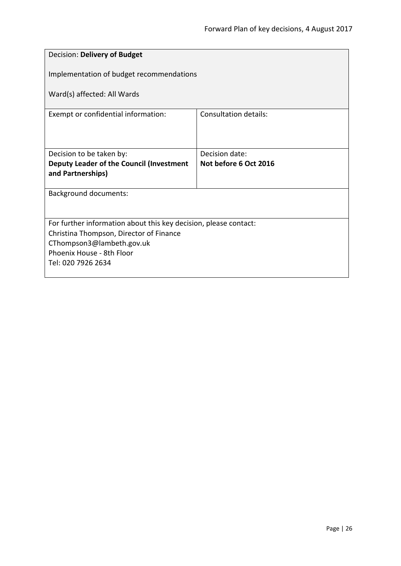| Decision: Delivery of Budget                                     |                       |  |
|------------------------------------------------------------------|-----------------------|--|
| Implementation of budget recommendations                         |                       |  |
| Ward(s) affected: All Wards                                      |                       |  |
| Exempt or confidential information:                              | Consultation details: |  |
|                                                                  |                       |  |
| Decision to be taken by:                                         | Decision date:        |  |
| Deputy Leader of the Council (Investment<br>and Partnerships)    | Not before 6 Oct 2016 |  |
|                                                                  |                       |  |
| <b>Background documents:</b>                                     |                       |  |
|                                                                  |                       |  |
| For further information about this key decision, please contact: |                       |  |
| Christina Thompson, Director of Finance                          |                       |  |
| CThompson3@lambeth.gov.uk<br>Phoenix House - 8th Floor           |                       |  |
| Tel: 020 7926 2634                                               |                       |  |
|                                                                  |                       |  |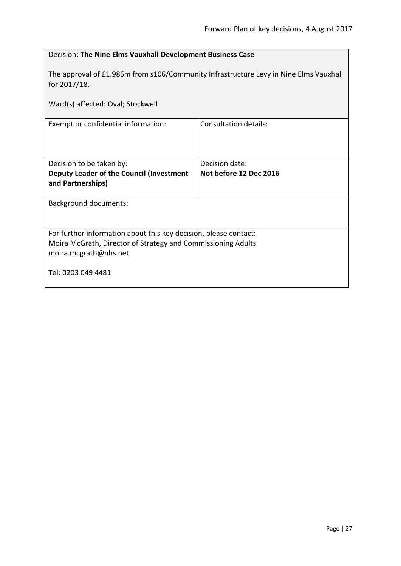| Decision: The Nine Elms Vauxhall Development Business Case                                                                                                |                              |  |
|-----------------------------------------------------------------------------------------------------------------------------------------------------------|------------------------------|--|
| The approval of £1.986m from s106/Community Infrastructure Levy in Nine Elms Vauxhall<br>for 2017/18.                                                     |                              |  |
| Ward(s) affected: Oval; Stockwell                                                                                                                         |                              |  |
| Exempt or confidential information:                                                                                                                       | <b>Consultation details:</b> |  |
| Decision to be taken by:                                                                                                                                  | Decision date:               |  |
| Deputy Leader of the Council (Investment<br>and Partnerships)                                                                                             | Not before 12 Dec 2016       |  |
| <b>Background documents:</b>                                                                                                                              |                              |  |
| For further information about this key decision, please contact:<br>Moira McGrath, Director of Strategy and Commissioning Adults<br>moira.mcgrath@nhs.net |                              |  |
| Tel: 0203 049 4481                                                                                                                                        |                              |  |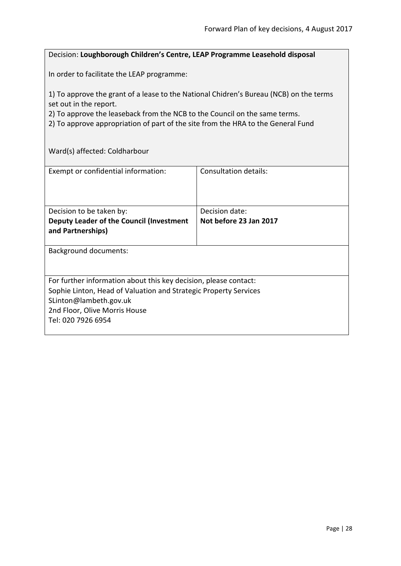#### Decision: **Loughborough Children's Centre, LEAP Programme Leasehold disposal**

In order to facilitate the LEAP programme:

1) To approve the grant of a lease to the National Chidren's Bureau (NCB) on the terms set out in the report.

2) To approve the leaseback from the NCB to the Council on the same terms.

2) To approve appropriation of part of the site from the HRA to the General Fund

Ward(s) affected: Coldharbour

| Exempt or confidential information:                              | Consultation details:  |  |
|------------------------------------------------------------------|------------------------|--|
| Decision to be taken by:                                         | Decision date:         |  |
| Deputy Leader of the Council (Investment                         | Not before 23 Jan 2017 |  |
|                                                                  |                        |  |
| and Partnerships)                                                |                        |  |
|                                                                  |                        |  |
| Background documents:                                            |                        |  |
|                                                                  |                        |  |
| For further information about this key decision, please contact: |                        |  |
| Sophie Linton, Head of Valuation and Strategic Property Services |                        |  |
| SLinton@lambeth.gov.uk                                           |                        |  |
|                                                                  |                        |  |
| 2nd Floor, Olive Morris House                                    |                        |  |
| Tel: 020 7926 6954                                               |                        |  |
|                                                                  |                        |  |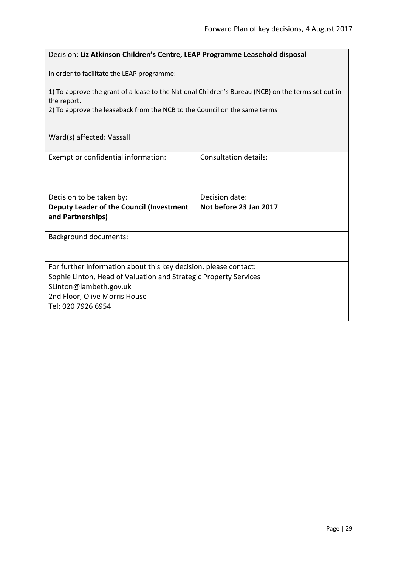#### Decision: **Liz Atkinson Children's Centre, LEAP Programme Leasehold disposal**

In order to facilitate the LEAP programme:

1) To approve the grant of a lease to the National Children's Bureau (NCB) on the terms set out in the report.

2) To approve the leaseback from the NCB to the Council on the same terms

|  | Ward(s) affected: Vassall |  |
|--|---------------------------|--|
|--|---------------------------|--|

| Exempt or confidential information:                              | Consultation details:  |
|------------------------------------------------------------------|------------------------|
| Decision to be taken by:                                         | Decision date:         |
|                                                                  |                        |
| Deputy Leader of the Council (Investment                         | Not before 23 Jan 2017 |
| and Partnerships)                                                |                        |
|                                                                  |                        |
| <b>Background documents:</b>                                     |                        |
|                                                                  |                        |
| For further information about this key decision, please contact: |                        |
| Sophie Linton, Head of Valuation and Strategic Property Services |                        |
| SLinton@lambeth.gov.uk                                           |                        |
| 2nd Floor, Olive Morris House                                    |                        |
| Tel: 020 7926 6954                                               |                        |
|                                                                  |                        |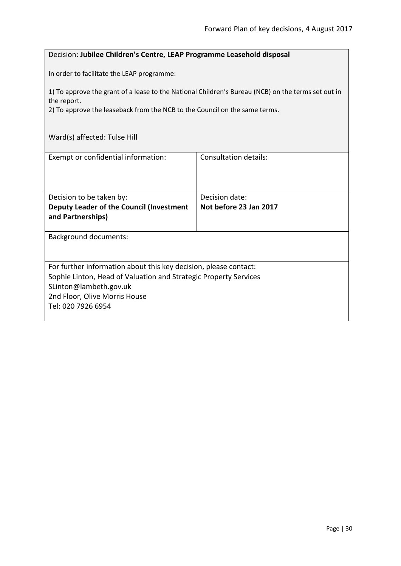#### Decision: **Jubilee Children's Centre, LEAP Programme Leasehold disposal**

In order to facilitate the LEAP programme:

1) To approve the grant of a lease to the National Children's Bureau (NCB) on the terms set out in the report.

2) To approve the leaseback from the NCB to the Council on the same terms.

| Ward(s) affected: Tulse Hill |  |
|------------------------------|--|
|------------------------------|--|

| Exempt or confidential information:                              | Consultation details:  |
|------------------------------------------------------------------|------------------------|
| Decision to be taken by:                                         | Decision date:         |
| Deputy Leader of the Council (Investment                         | Not before 23 Jan 2017 |
| and Partnerships)                                                |                        |
|                                                                  |                        |
| <b>Background documents:</b>                                     |                        |
|                                                                  |                        |
| For further information about this key decision, please contact: |                        |
| Sophie Linton, Head of Valuation and Strategic Property Services |                        |
| SLinton@lambeth.gov.uk                                           |                        |
| 2nd Floor, Olive Morris House                                    |                        |
| Tel: 020 7926 6954                                               |                        |
|                                                                  |                        |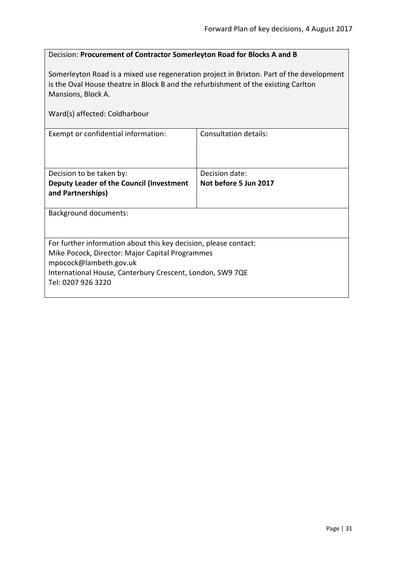#### Decision: **Procurement of Contractor Somerleyton Road for Blocks A and B**

Somerleyton Road is a mixed use regeneration project in Brixton. Part of the development is the Oval House theatre in Block B and the refurbishment of the existing Carlton Mansions, Block A.

| Ward(s) affected: Coldharbour                                                                                                                 |                       |
|-----------------------------------------------------------------------------------------------------------------------------------------------|-----------------------|
| Exempt or confidential information:                                                                                                           | Consultation details: |
| Decision to be taken by:                                                                                                                      | Decision date:        |
| Deputy Leader of the Council (Investment                                                                                                      | Not before 5 Jun 2017 |
| and Partnerships)                                                                                                                             |                       |
| <b>Background documents:</b>                                                                                                                  |                       |
| For further information about this key decision, please contact:<br>Mike Pocock, Director: Major Capital Programmes<br>mpocock@lambeth.gov.uk |                       |
| International House, Canterbury Crescent, London, SW9 7QE<br>Tel: 0207 926 3220                                                               |                       |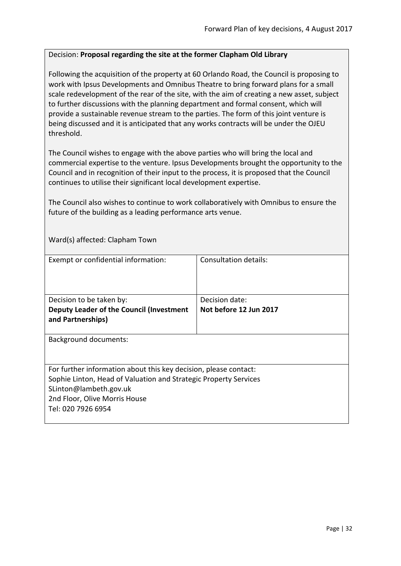#### Decision: **Proposal regarding the site at the former Clapham Old Library**

Following the acquisition of the property at 60 Orlando Road, the Council is proposing to work with Ipsus Developments and Omnibus Theatre to bring forward plans for a small scale redevelopment of the rear of the site, with the aim of creating a new asset, subject to further discussions with the planning department and formal consent, which will provide a sustainable revenue stream to the parties. The form of this joint venture is being discussed and it is anticipated that any works contracts will be under the OJEU threshold.

The Council wishes to engage with the above parties who will bring the local and commercial expertise to the venture. Ipsus Developments brought the opportunity to the Council and in recognition of their input to the process, it is proposed that the Council continues to utilise their significant local development expertise.

The Council also wishes to continue to work collaboratively with Omnibus to ensure the future of the building as a leading performance arts venue.

Ward(s) affected: Clapham Town

| Exempt or confidential information:                                                                                                                                                                                   | Consultation details:  |
|-----------------------------------------------------------------------------------------------------------------------------------------------------------------------------------------------------------------------|------------------------|
| Decision to be taken by:                                                                                                                                                                                              | Decision date:         |
| Deputy Leader of the Council (Investment<br>and Partnerships)                                                                                                                                                         | Not before 12 Jun 2017 |
| <b>Background documents:</b>                                                                                                                                                                                          |                        |
| For further information about this key decision, please contact:<br>Sophie Linton, Head of Valuation and Strategic Property Services<br>SLinton@lambeth.gov.uk<br>2nd Floor, Olive Morris House<br>Tel: 020 7926 6954 |                        |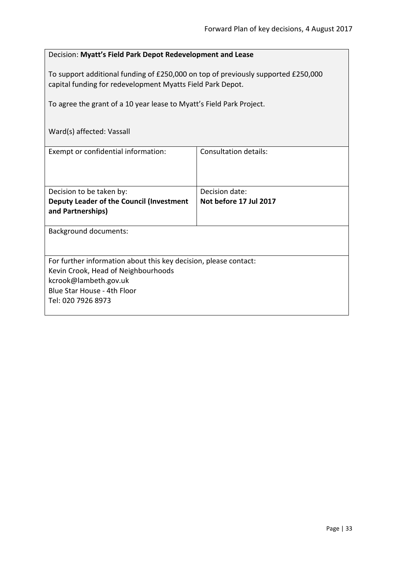To support additional funding of £250,000 on top of previously supported £250,000 capital funding for redevelopment Myatts Field Park Depot.

To agree the grant of a 10 year lease to Myatt's Field Park Project.

| Exempt or confidential information:                                                                                                                                                   | Consultation details:  |
|---------------------------------------------------------------------------------------------------------------------------------------------------------------------------------------|------------------------|
| Decision to be taken by:                                                                                                                                                              | Decision date:         |
| Deputy Leader of the Council (Investment<br>and Partnerships)                                                                                                                         | Not before 17 Jul 2017 |
| <b>Background documents:</b>                                                                                                                                                          |                        |
| For further information about this key decision, please contact:<br>Kevin Crook, Head of Neighbourhoods<br>kcrook@lambeth.gov.uk<br>Blue Star House - 4th Floor<br>Tel: 020 7926 8973 |                        |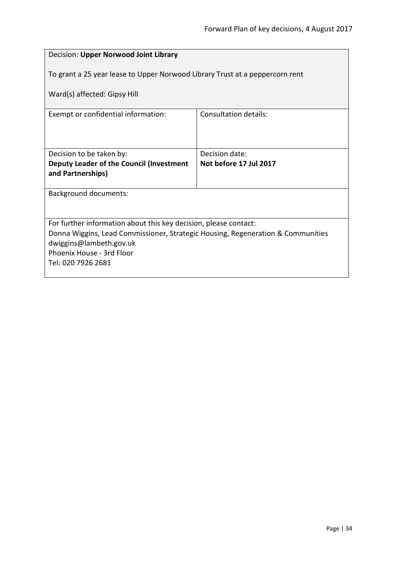| Decision: Upper Norwood Joint Library                                           |                        |  |
|---------------------------------------------------------------------------------|------------------------|--|
| To grant a 25 year lease to Upper Norwood Library Trust at a peppercorn rent    |                        |  |
| Ward(s) affected: Gipsy Hill                                                    |                        |  |
| Exempt or confidential information:                                             | Consultation details:  |  |
|                                                                                 |                        |  |
| Decision to be taken by:                                                        | Decision date:         |  |
| Deputy Leader of the Council (Investment                                        | Not before 17 Jul 2017 |  |
| and Partnerships)                                                               |                        |  |
| <b>Background documents:</b>                                                    |                        |  |
|                                                                                 |                        |  |
| For further information about this key decision, please contact:                |                        |  |
| Donna Wiggins, Lead Commissioner, Strategic Housing, Regeneration & Communities |                        |  |
| dwiggins@lambeth.gov.uk<br>Phoenix House - 3rd Floor                            |                        |  |
| Tel: 020 7926 2681                                                              |                        |  |
|                                                                                 |                        |  |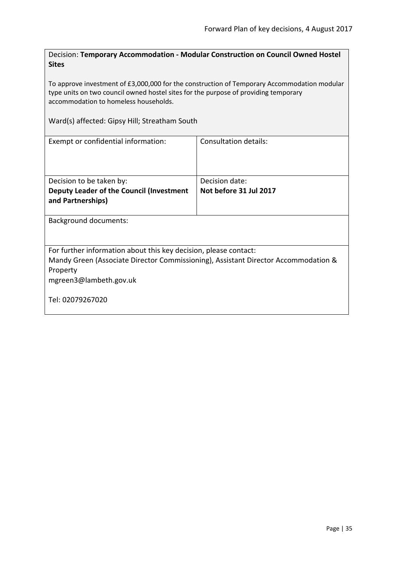Decision: **Temporary Accommodation - Modular Construction on Council Owned Hostel Sites**

To approve investment of £3,000,000 for the construction of Temporary Accommodation modular type units on two council owned hostel sites for the purpose of providing temporary accommodation to homeless households.

Ward(s) affected: Gipsy Hill; Streatham South

| Exempt or confidential information:                                                | Consultation details:  |
|------------------------------------------------------------------------------------|------------------------|
| Decision to be taken by:                                                           | Decision date:         |
| Deputy Leader of the Council (Investment                                           | Not before 31 Jul 2017 |
| and Partnerships)                                                                  |                        |
|                                                                                    |                        |
| <b>Background documents:</b>                                                       |                        |
| For further information about this key decision, please contact:                   |                        |
| Mandy Green (Associate Director Commissioning), Assistant Director Accommodation & |                        |
| Property                                                                           |                        |
| mgreen3@lambeth.gov.uk                                                             |                        |
| Tel: 02079267020                                                                   |                        |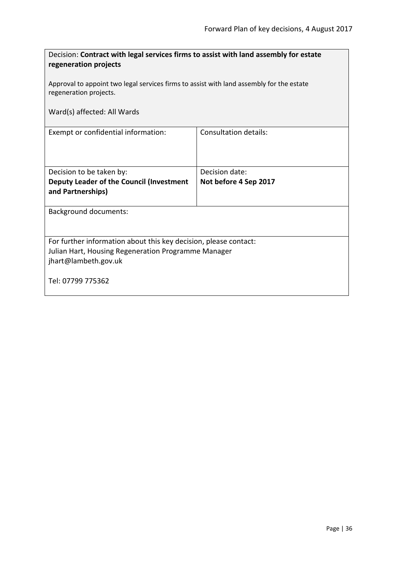| Decision: Contract with legal services firms to assist with land assembly for estate<br>regeneration projects                                   |                              |  |
|-------------------------------------------------------------------------------------------------------------------------------------------------|------------------------------|--|
| Approval to appoint two legal services firms to assist with land assembly for the estate<br>regeneration projects.                              |                              |  |
| Ward(s) affected: All Wards                                                                                                                     |                              |  |
| Exempt or confidential information:                                                                                                             | <b>Consultation details:</b> |  |
| Decision to be taken by:                                                                                                                        | Decision date:               |  |
| Deputy Leader of the Council (Investment<br>and Partnerships)                                                                                   | Not before 4 Sep 2017        |  |
| <b>Background documents:</b>                                                                                                                    |                              |  |
| For further information about this key decision, please contact:<br>Julian Hart, Housing Regeneration Programme Manager<br>jhart@lambeth.gov.uk |                              |  |
| Tel: 07799 775362                                                                                                                               |                              |  |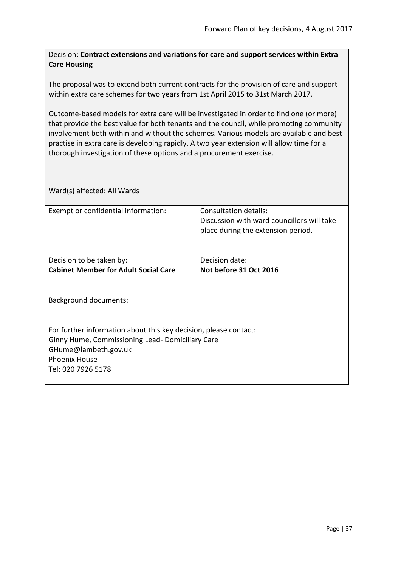Decision: **Contract extensions and variations for care and support services within Extra Care Housing**

The proposal was to extend both current contracts for the provision of care and support within extra care schemes for two years from 1st April 2015 to 31st March 2017.

Outcome-based models for extra care will be investigated in order to find one (or more) that provide the best value for both tenants and the council, while promoting community involvement both within and without the schemes. Various models are available and best practise in extra care is developing rapidly. A two year extension will allow time for a thorough investigation of these options and a procurement exercise.

| Exempt or confidential information:                              | Consultation details:                      |
|------------------------------------------------------------------|--------------------------------------------|
|                                                                  | Discussion with ward councillors will take |
|                                                                  | place during the extension period.         |
|                                                                  |                                            |
|                                                                  |                                            |
| Decision to be taken by:                                         | Decision date:                             |
| <b>Cabinet Member for Adult Social Care</b>                      | Not before 31 Oct 2016                     |
|                                                                  |                                            |
|                                                                  |                                            |
| <b>Background documents:</b>                                     |                                            |
|                                                                  |                                            |
|                                                                  |                                            |
| For further information about this key decision, please contact: |                                            |
| Ginny Hume, Commissioning Lead- Domiciliary Care                 |                                            |
| GHume@lambeth.gov.uk                                             |                                            |
| <b>Phoenix House</b>                                             |                                            |
| Tel: 020 7926 5178                                               |                                            |
|                                                                  |                                            |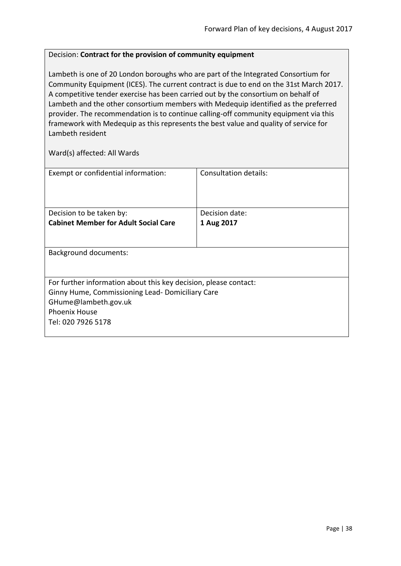# Decision: **Contract for the provision of community equipment**

Lambeth is one of 20 London boroughs who are part of the Integrated Consortium for Community Equipment (ICES). The current contract is due to end on the 31st March 2017. A competitive tender exercise has been carried out by the consortium on behalf of Lambeth and the other consortium members with Medequip identified as the preferred provider. The recommendation is to continue calling-off community equipment via this framework with Medequip as this represents the best value and quality of service for Lambeth resident

| Exempt or confidential information:                              | Consultation details: |
|------------------------------------------------------------------|-----------------------|
|                                                                  |                       |
| Decision to be taken by:                                         | Decision date:        |
| <b>Cabinet Member for Adult Social Care</b>                      | 1 Aug 2017            |
|                                                                  |                       |
| Background documents:                                            |                       |
| For further information about this key decision, please contact: |                       |
| Ginny Hume, Commissioning Lead- Domiciliary Care                 |                       |
| GHume@lambeth.gov.uk                                             |                       |
| <b>Phoenix House</b>                                             |                       |
| Tel: 020 7926 5178                                               |                       |
|                                                                  |                       |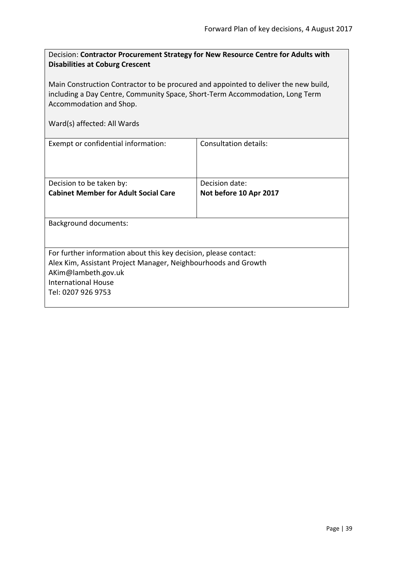| Decision: Contractor Procurement Strategy for New Resource Centre for Adults with |  |
|-----------------------------------------------------------------------------------|--|
| <b>Disabilities at Coburg Crescent</b>                                            |  |

Main Construction Contractor to be procured and appointed to deliver the new build, including a Day Centre, Community Space, Short-Term Accommodation, Long Term Accommodation and Shop.

| Exempt or confidential information:                              | Consultation details:  |
|------------------------------------------------------------------|------------------------|
|                                                                  |                        |
| Decision to be taken by:                                         | Decision date:         |
| <b>Cabinet Member for Adult Social Care</b>                      | Not before 10 Apr 2017 |
|                                                                  |                        |
| Background documents:                                            |                        |
|                                                                  |                        |
| For further information about this key decision, please contact: |                        |
| Alex Kim, Assistant Project Manager, Neighbourhoods and Growth   |                        |
| AKim@lambeth.gov.uk                                              |                        |
| <b>International House</b>                                       |                        |
| Tel: 0207 926 9753                                               |                        |
|                                                                  |                        |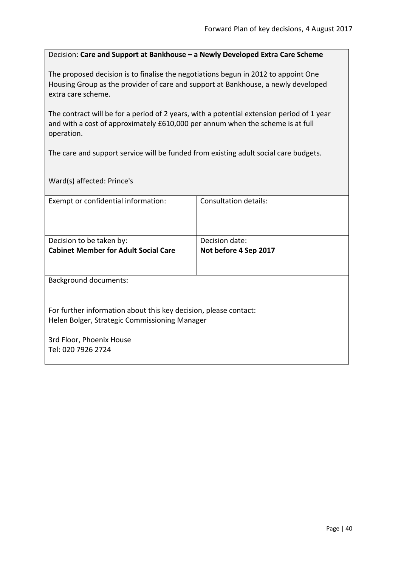# Decision: **Care and Support at Bankhouse – a Newly Developed Extra Care Scheme**

The proposed decision is to finalise the negotiations begun in 2012 to appoint One Housing Group as the provider of care and support at Bankhouse, a newly developed extra care scheme.

The contract will be for a period of 2 years, with a potential extension period of 1 year and with a cost of approximately £610,000 per annum when the scheme is at full operation.

The care and support service will be funded from existing adult social care budgets.

Ward(s) affected: Prince's

| Exempt or confidential information:                              | Consultation details: |
|------------------------------------------------------------------|-----------------------|
|                                                                  |                       |
|                                                                  |                       |
| Decision to be taken by:                                         | Decision date:        |
| <b>Cabinet Member for Adult Social Care</b>                      | Not before 4 Sep 2017 |
|                                                                  |                       |
|                                                                  |                       |
| <b>Background documents:</b>                                     |                       |
|                                                                  |                       |
| For further information about this key decision, please contact: |                       |
| Helen Bolger, Strategic Commissioning Manager                    |                       |
|                                                                  |                       |
| 3rd Floor, Phoenix House                                         |                       |
| Tel: 020 7926 2724                                               |                       |
|                                                                  |                       |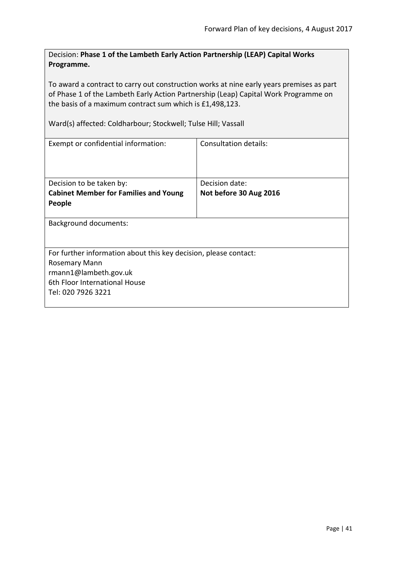Decision: **Phase 1 of the Lambeth Early Action Partnership (LEAP) Capital Works Programme.**

To award a contract to carry out construction works at nine early years premises as part of Phase 1 of the Lambeth Early Action Partnership (Leap) Capital Work Programme on the basis of a maximum contract sum which is £1,498,123.

Ward(s) affected: Coldharbour; Stockwell; Tulse Hill; Vassall

| Consultation details:                                            |  |  |
|------------------------------------------------------------------|--|--|
|                                                                  |  |  |
| Decision date:                                                   |  |  |
| Not before 30 Aug 2016                                           |  |  |
|                                                                  |  |  |
| <b>Background documents:</b>                                     |  |  |
| For further information about this key decision, please contact: |  |  |
| Rosemary Mann                                                    |  |  |
| rmann1@lambeth.gov.uk                                            |  |  |
|                                                                  |  |  |
|                                                                  |  |  |
|                                                                  |  |  |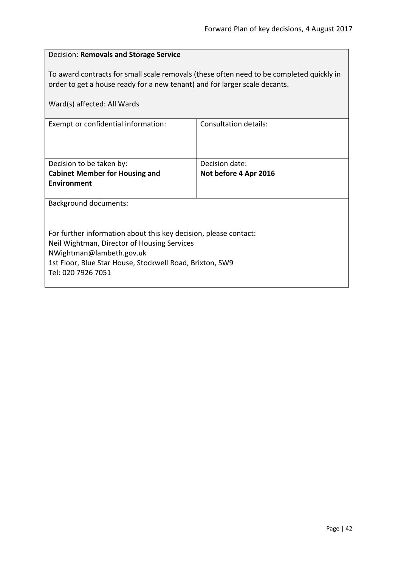# Decision: **Removals and Storage Service** To award contracts for small scale removals (these often need to be completed quickly in order to get a house ready for a new tenant) and for larger scale decants. Ward(s) affected: All Wards Exempt or confidential information: Consultation details: Decision to be taken by: **Cabinet Member for Housing and Environment** Decision date: **Not before 4 Apr 2016** Background documents: For further information about this key decision, please contact: Neil Wightman, Director of Housing Services NWightman@lambeth.gov.uk 1st Floor, Blue Star House, Stockwell Road, Brixton, SW9 Tel: 020 7926 7051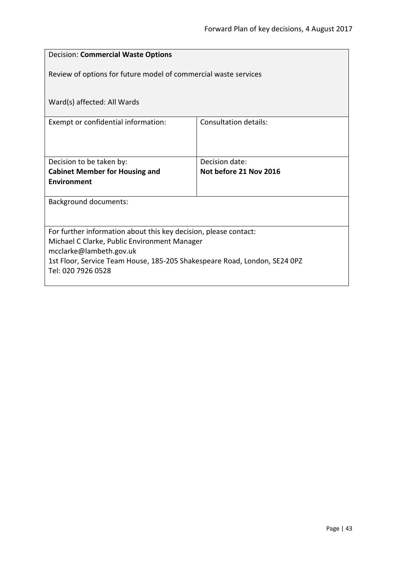| <b>Decision: Commercial Waste Options</b>                                 |                              |  |
|---------------------------------------------------------------------------|------------------------------|--|
| Review of options for future model of commercial waste services           |                              |  |
| Ward(s) affected: All Wards                                               |                              |  |
| Exempt or confidential information:                                       | <b>Consultation details:</b> |  |
|                                                                           |                              |  |
| Decision to be taken by:                                                  | Decision date:               |  |
| <b>Cabinet Member for Housing and</b>                                     | Not before 21 Nov 2016       |  |
| Environment                                                               |                              |  |
| <b>Background documents:</b>                                              |                              |  |
|                                                                           |                              |  |
| For further information about this key decision, please contact:          |                              |  |
| Michael C Clarke, Public Environment Manager<br>mcclarke@lambeth.gov.uk   |                              |  |
| 1st Floor, Service Team House, 185-205 Shakespeare Road, London, SE24 0PZ |                              |  |
| Tel: 020 7926 0528                                                        |                              |  |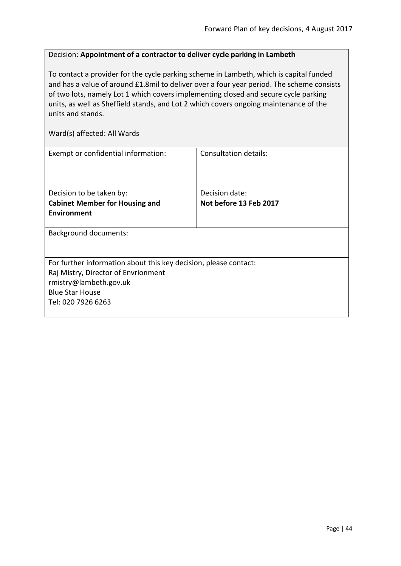## Decision: **Appointment of a contractor to deliver cycle parking in Lambeth**

To contact a provider for the cycle parking scheme in Lambeth, which is capital funded and has a value of around £1.8mil to deliver over a four year period. The scheme consists of two lots, namely Lot 1 which covers implementing closed and secure cycle parking units, as well as Sheffield stands, and Lot 2 which covers ongoing maintenance of the units and stands.

| Exempt or confidential information:                              | Consultation details:  |
|------------------------------------------------------------------|------------------------|
| Decision to be taken by:                                         | Decision date:         |
| <b>Cabinet Member for Housing and</b>                            | Not before 13 Feb 2017 |
| Environment                                                      |                        |
| <b>Background documents:</b>                                     |                        |
| For further information about this key decision, please contact: |                        |
| Raj Mistry, Director of Envrionment                              |                        |
| rmistry@lambeth.gov.uk                                           |                        |
| <b>Blue Star House</b>                                           |                        |
| Tel: 020 7926 6263                                               |                        |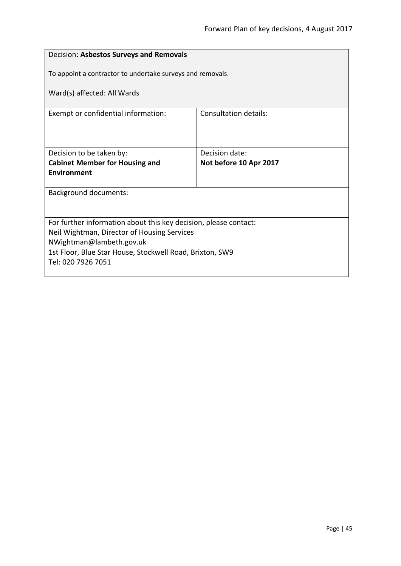| Decision: Asbestos Surveys and Removals                          |                        |  |
|------------------------------------------------------------------|------------------------|--|
| To appoint a contractor to undertake surveys and removals.       |                        |  |
| Ward(s) affected: All Wards                                      |                        |  |
| Exempt or confidential information:                              | Consultation details:  |  |
|                                                                  |                        |  |
| Decision to be taken by:                                         | Decision date:         |  |
| <b>Cabinet Member for Housing and</b>                            | Not before 10 Apr 2017 |  |
| <b>Environment</b>                                               |                        |  |
| <b>Background documents:</b>                                     |                        |  |
|                                                                  |                        |  |
| For further information about this key decision, please contact: |                        |  |
| Neil Wightman, Director of Housing Services                      |                        |  |
| NWightman@lambeth.gov.uk                                         |                        |  |
| 1st Floor, Blue Star House, Stockwell Road, Brixton, SW9         |                        |  |
| Tel: 020 7926 7051                                               |                        |  |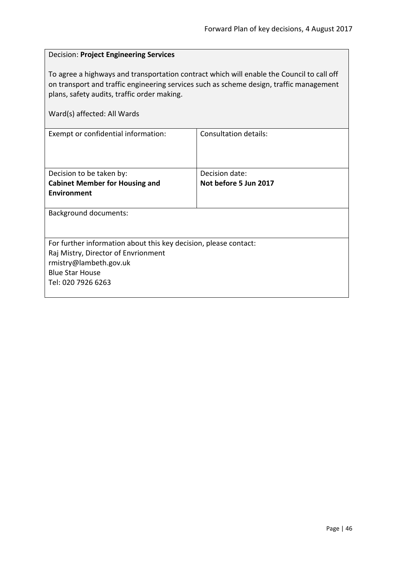| <b>Decision: Project Engineering Services</b>                                                                                                                                                                                                                      |                       |  |
|--------------------------------------------------------------------------------------------------------------------------------------------------------------------------------------------------------------------------------------------------------------------|-----------------------|--|
| To agree a highways and transportation contract which will enable the Council to call off<br>on transport and traffic engineering services such as scheme design, traffic management<br>plans, safety audits, traffic order making.<br>Ward(s) affected: All Wards |                       |  |
| Exempt or confidential information:                                                                                                                                                                                                                                | Consultation details: |  |
|                                                                                                                                                                                                                                                                    |                       |  |
| Decision to be taken by:                                                                                                                                                                                                                                           | Decision date:        |  |
| <b>Cabinet Member for Housing and</b>                                                                                                                                                                                                                              | Not before 5 Jun 2017 |  |
| <b>Environment</b>                                                                                                                                                                                                                                                 |                       |  |
| <b>Background documents:</b>                                                                                                                                                                                                                                       |                       |  |
|                                                                                                                                                                                                                                                                    |                       |  |
| For further information about this key decision, please contact:                                                                                                                                                                                                   |                       |  |
| Raj Mistry, Director of Envrionment                                                                                                                                                                                                                                |                       |  |
| rmistry@lambeth.gov.uk                                                                                                                                                                                                                                             |                       |  |
| <b>Blue Star House</b>                                                                                                                                                                                                                                             |                       |  |
| Tel: 020 7926 6263                                                                                                                                                                                                                                                 |                       |  |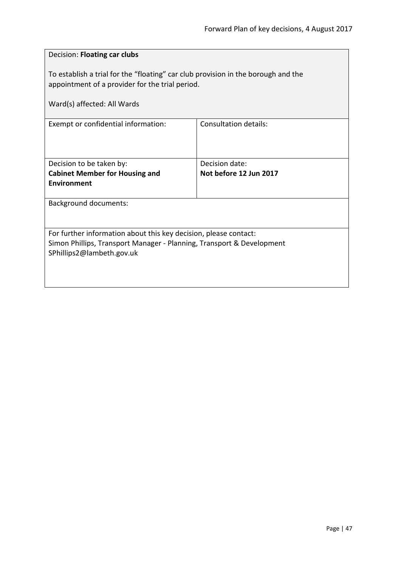| Decision: Floating car clubs                                                                                                                                           |                        |  |
|------------------------------------------------------------------------------------------------------------------------------------------------------------------------|------------------------|--|
| To establish a trial for the "floating" car club provision in the borough and the<br>appointment of a provider for the trial period.                                   |                        |  |
| Ward(s) affected: All Wards                                                                                                                                            |                        |  |
| Exempt or confidential information:                                                                                                                                    | Consultation details:  |  |
| Decision to be taken by:                                                                                                                                               | Decision date:         |  |
| <b>Cabinet Member for Housing and</b><br><b>Environment</b>                                                                                                            | Not before 12 Jun 2017 |  |
| <b>Background documents:</b>                                                                                                                                           |                        |  |
| For further information about this key decision, please contact:<br>Simon Phillips, Transport Manager - Planning, Transport & Development<br>SPhillips2@lambeth.gov.uk |                        |  |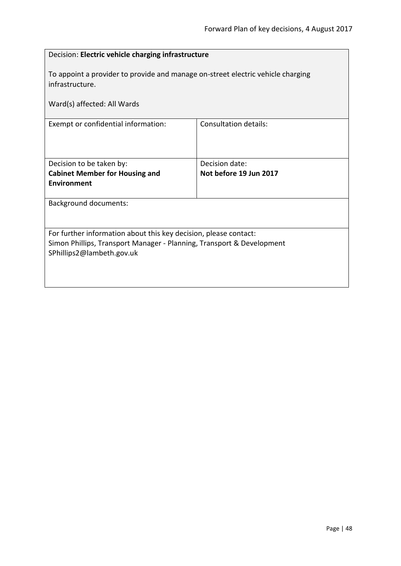| Decision: Electric vehicle charging infrastructure                                                                                                                     |                              |  |
|------------------------------------------------------------------------------------------------------------------------------------------------------------------------|------------------------------|--|
| To appoint a provider to provide and manage on-street electric vehicle charging<br>infrastructure.                                                                     |                              |  |
| Ward(s) affected: All Wards                                                                                                                                            |                              |  |
| Exempt or confidential information:                                                                                                                                    | <b>Consultation details:</b> |  |
| Decision to be taken by:                                                                                                                                               | Decision date:               |  |
| <b>Cabinet Member for Housing and</b>                                                                                                                                  | Not before 19 Jun 2017       |  |
| <b>Environment</b>                                                                                                                                                     |                              |  |
| <b>Background documents:</b>                                                                                                                                           |                              |  |
| For further information about this key decision, please contact:<br>Simon Phillips, Transport Manager - Planning, Transport & Development<br>SPhillips2@lambeth.gov.uk |                              |  |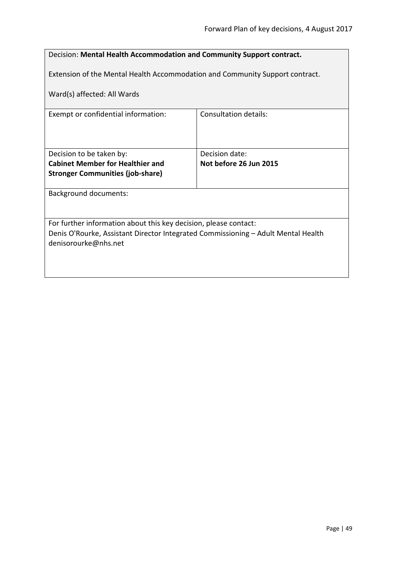| Decision: Mental Health Accommodation and Community Support contract.             |                        |  |
|-----------------------------------------------------------------------------------|------------------------|--|
|                                                                                   |                        |  |
| Extension of the Mental Health Accommodation and Community Support contract.      |                        |  |
|                                                                                   |                        |  |
| Ward(s) affected: All Wards                                                       |                        |  |
|                                                                                   |                        |  |
| Exempt or confidential information:                                               | Consultation details:  |  |
|                                                                                   |                        |  |
|                                                                                   |                        |  |
|                                                                                   |                        |  |
| Decision to be taken by:                                                          | Decision date:         |  |
| <b>Cabinet Member for Healthier and</b>                                           | Not before 26 Jun 2015 |  |
| <b>Stronger Communities (job-share)</b>                                           |                        |  |
|                                                                                   |                        |  |
| <b>Background documents:</b>                                                      |                        |  |
|                                                                                   |                        |  |
|                                                                                   |                        |  |
| For further information about this key decision, please contact:                  |                        |  |
| Denis O'Rourke, Assistant Director Integrated Commissioning - Adult Mental Health |                        |  |
| denisorourke@nhs.net                                                              |                        |  |
|                                                                                   |                        |  |
|                                                                                   |                        |  |
|                                                                                   |                        |  |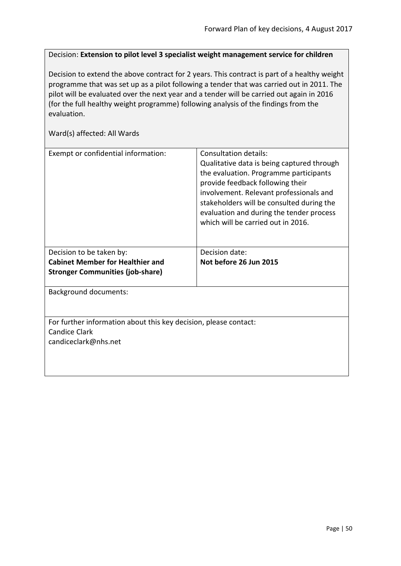Decision: **Extension to pilot level 3 specialist weight management service for children**

Decision to extend the above contract for 2 years. This contract is part of a healthy weight programme that was set up as a pilot following a tender that was carried out in 2011. The pilot will be evaluated over the next year and a tender will be carried out again in 2016 (for the full healthy weight programme) following analysis of the findings from the evaluation.

| Exempt or confidential information:                              | Consultation details:<br>Qualitative data is being captured through<br>the evaluation. Programme participants<br>provide feedback following their<br>involvement. Relevant professionals and<br>stakeholders will be consulted during the<br>evaluation and during the tender process<br>which will be carried out in 2016. |
|------------------------------------------------------------------|-----------------------------------------------------------------------------------------------------------------------------------------------------------------------------------------------------------------------------------------------------------------------------------------------------------------------------|
| Decision to be taken by:                                         | Decision date:                                                                                                                                                                                                                                                                                                              |
| <b>Cabinet Member for Healthier and</b>                          | Not before 26 Jun 2015                                                                                                                                                                                                                                                                                                      |
| <b>Stronger Communities (job-share)</b>                          |                                                                                                                                                                                                                                                                                                                             |
| <b>Background documents:</b>                                     |                                                                                                                                                                                                                                                                                                                             |
|                                                                  |                                                                                                                                                                                                                                                                                                                             |
| For further information about this key decision, please contact: |                                                                                                                                                                                                                                                                                                                             |
| <b>Candice Clark</b>                                             |                                                                                                                                                                                                                                                                                                                             |
| candiceclark@nhs.net                                             |                                                                                                                                                                                                                                                                                                                             |
|                                                                  |                                                                                                                                                                                                                                                                                                                             |
|                                                                  |                                                                                                                                                                                                                                                                                                                             |
|                                                                  |                                                                                                                                                                                                                                                                                                                             |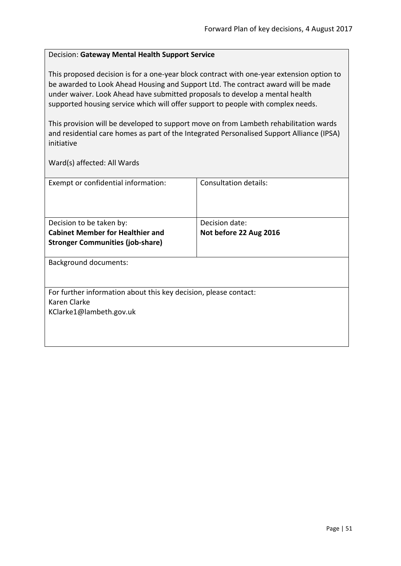# Decision: **Gateway Mental Health Support Service**

This proposed decision is for a one-year block contract with one-year extension option to be awarded to Look Ahead Housing and Support Ltd. The contract award will be made under waiver. Look Ahead have submitted proposals to develop a mental health supported housing service which will offer support to people with complex needs.

This provision will be developed to support move on from Lambeth rehabilitation wards and residential care homes as part of the Integrated Personalised Support Alliance (IPSA) initiative

| Exempt or confidential information:                              | Consultation details:  |
|------------------------------------------------------------------|------------------------|
|                                                                  |                        |
|                                                                  |                        |
|                                                                  |                        |
| Decision to be taken by:                                         | Decision date:         |
| <b>Cabinet Member for Healthier and</b>                          | Not before 22 Aug 2016 |
| <b>Stronger Communities (job-share)</b>                          |                        |
|                                                                  |                        |
| <b>Background documents:</b>                                     |                        |
|                                                                  |                        |
|                                                                  |                        |
| For further information about this key decision, please contact: |                        |
| Karen Clarke                                                     |                        |
| KClarke1@lambeth.gov.uk                                          |                        |
|                                                                  |                        |
|                                                                  |                        |
|                                                                  |                        |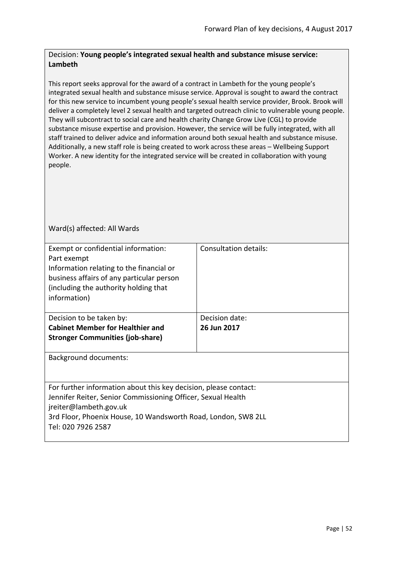# Decision: **Young people's integrated sexual health and substance misuse service: Lambeth**

This report seeks approval for the award of a contract in Lambeth for the young people's integrated sexual health and substance misuse service. Approval is sought to award the contract for this new service to incumbent young people's sexual health service provider, Brook. Brook will deliver a completely level 2 sexual health and targeted outreach clinic to vulnerable young people. They will subcontract to social care and health charity Change Grow Live (CGL) to provide substance misuse expertise and provision. However, the service will be fully integrated, with all staff trained to deliver advice and information around both sexual health and substance misuse. Additionally, a new staff role is being created to work across these areas – Wellbeing Support Worker. A new identity for the integrated service will be created in collaboration with young people.

| Exempt or confidential information:                              | <b>Consultation details:</b> |
|------------------------------------------------------------------|------------------------------|
| Part exempt                                                      |                              |
| Information relating to the financial or                         |                              |
| business affairs of any particular person                        |                              |
| (including the authority holding that                            |                              |
| information)                                                     |                              |
|                                                                  |                              |
| Decision to be taken by:                                         | Decision date:               |
| <b>Cabinet Member for Healthier and</b>                          | 26 Jun 2017                  |
| <b>Stronger Communities (job-share)</b>                          |                              |
|                                                                  |                              |
| <b>Background documents:</b>                                     |                              |
|                                                                  |                              |
|                                                                  |                              |
| For further information about this key decision, please contact: |                              |
| Jennifer Reiter, Senior Commissioning Officer, Sexual Health     |                              |
| jreiter@lambeth.gov.uk                                           |                              |
| 3rd Floor, Phoenix House, 10 Wandsworth Road, London, SW8 2LL    |                              |
| Tel: 020 7926 2587                                               |                              |
|                                                                  |                              |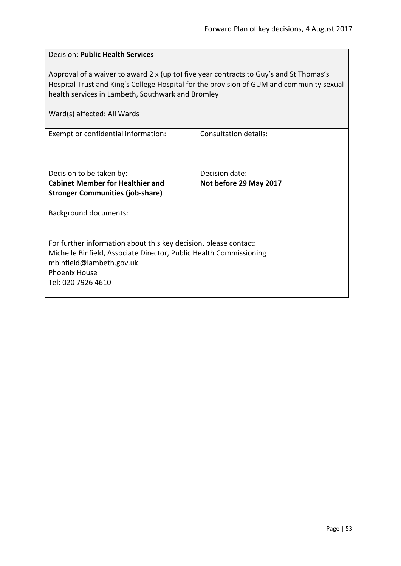| <b>Decision: Public Health Services</b>                                                                                                                                                                                                                                |                        |  |
|------------------------------------------------------------------------------------------------------------------------------------------------------------------------------------------------------------------------------------------------------------------------|------------------------|--|
| Approval of a waiver to award 2 x (up to) five year contracts to Guy's and St Thomas's<br>Hospital Trust and King's College Hospital for the provision of GUM and community sexual<br>health services in Lambeth, Southwark and Bromley<br>Ward(s) affected: All Wards |                        |  |
| Exempt or confidential information:                                                                                                                                                                                                                                    | Consultation details:  |  |
| Decision to be taken by:                                                                                                                                                                                                                                               | Decision date:         |  |
| <b>Cabinet Member for Healthier and</b>                                                                                                                                                                                                                                | Not before 29 May 2017 |  |
| <b>Stronger Communities (job-share)</b>                                                                                                                                                                                                                                |                        |  |
| <b>Background documents:</b>                                                                                                                                                                                                                                           |                        |  |
| For further information about this key decision, please contact:<br>Michelle Binfield, Associate Director, Public Health Commissioning<br>mbinfield@lambeth.gov.uk<br><b>Phoenix House</b><br>Tel: 020 7926 4610                                                       |                        |  |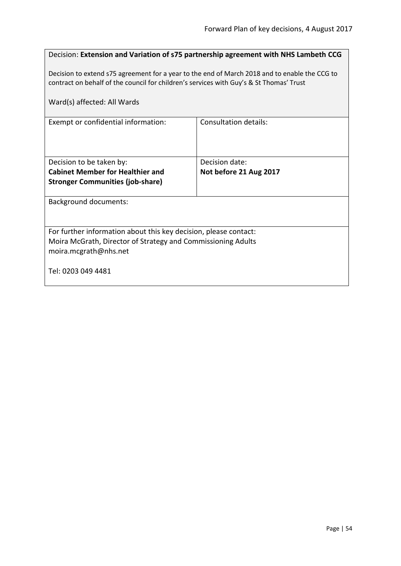| Decision: Extension and Variation of s75 partnership agreement with NHS Lambeth CCG                                                                                                      |                        |  |
|------------------------------------------------------------------------------------------------------------------------------------------------------------------------------------------|------------------------|--|
| Decision to extend s75 agreement for a year to the end of March 2018 and to enable the CCG to<br>contract on behalf of the council for children's services with Guy's & St Thomas' Trust |                        |  |
| Ward(s) affected: All Wards                                                                                                                                                              |                        |  |
| Consultation details:<br>Exempt or confidential information:                                                                                                                             |                        |  |
|                                                                                                                                                                                          |                        |  |
| Decision to be taken by:                                                                                                                                                                 | Decision date:         |  |
| <b>Cabinet Member for Healthier and</b>                                                                                                                                                  | Not before 21 Aug 2017 |  |
| <b>Stronger Communities (job-share)</b>                                                                                                                                                  |                        |  |
| <b>Background documents:</b>                                                                                                                                                             |                        |  |
|                                                                                                                                                                                          |                        |  |
| For further information about this key decision, please contact:                                                                                                                         |                        |  |
| Moira McGrath, Director of Strategy and Commissioning Adults                                                                                                                             |                        |  |
| moira.mcgrath@nhs.net                                                                                                                                                                    |                        |  |
| Tel: 0203 049 4481                                                                                                                                                                       |                        |  |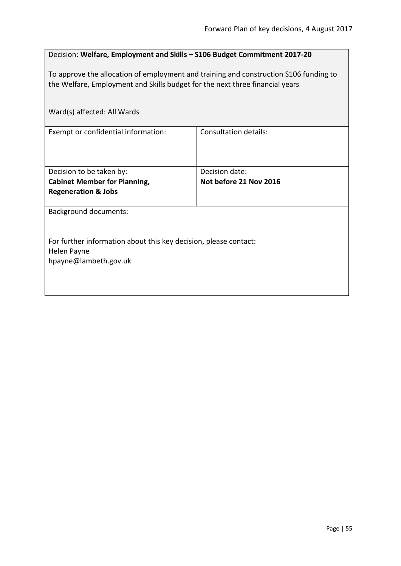| Decision: Welfare, Employment and Skills - S106 Budget Commitment 2017-20                                                                                             |                        |  |
|-----------------------------------------------------------------------------------------------------------------------------------------------------------------------|------------------------|--|
| To approve the allocation of employment and training and construction S106 funding to<br>the Welfare, Employment and Skills budget for the next three financial years |                        |  |
| Ward(s) affected: All Wards                                                                                                                                           |                        |  |
| Exempt or confidential information:                                                                                                                                   | Consultation details:  |  |
| Decision to be taken by:                                                                                                                                              | Decision date:         |  |
| <b>Cabinet Member for Planning,</b><br><b>Regeneration &amp; Jobs</b>                                                                                                 | Not before 21 Nov 2016 |  |
| <b>Background documents:</b>                                                                                                                                          |                        |  |
| For further information about this key decision, please contact:                                                                                                      |                        |  |
| Helen Payne<br>hpayne@lambeth.gov.uk                                                                                                                                  |                        |  |
|                                                                                                                                                                       |                        |  |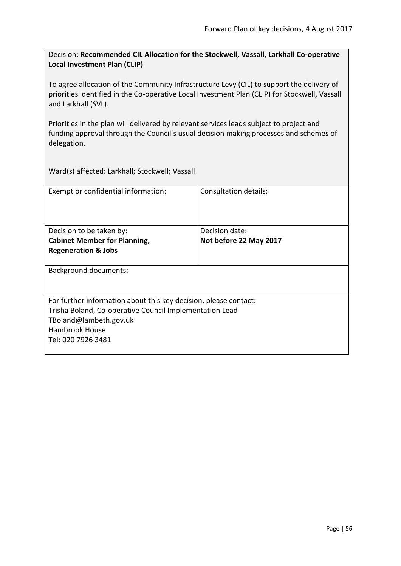Decision: **Recommended CIL Allocation for the Stockwell, Vassall, Larkhall Co-operative Local Investment Plan (CLIP)**

To agree allocation of the Community Infrastructure Levy (CIL) to support the delivery of priorities identified in the Co-operative Local Investment Plan (CLIP) for Stockwell, Vassall and Larkhall (SVL).

Priorities in the plan will delivered by relevant services leads subject to project and funding approval through the Council's usual decision making processes and schemes of delegation.

Ward(s) affected: Larkhall; Stockwell; Vassall

| Exempt or confidential information:                              | Consultation details:  |
|------------------------------------------------------------------|------------------------|
| Decision to be taken by:                                         | Decision date:         |
| <b>Cabinet Member for Planning,</b>                              | Not before 22 May 2017 |
| <b>Regeneration &amp; Jobs</b>                                   |                        |
| <b>Background documents:</b>                                     |                        |
| For further information about this key decision, please contact: |                        |
| Trisha Boland, Co-operative Council Implementation Lead          |                        |
| TBoland@lambeth.gov.uk                                           |                        |
| <b>Hambrook House</b>                                            |                        |
| Tel: 020 7926 3481                                               |                        |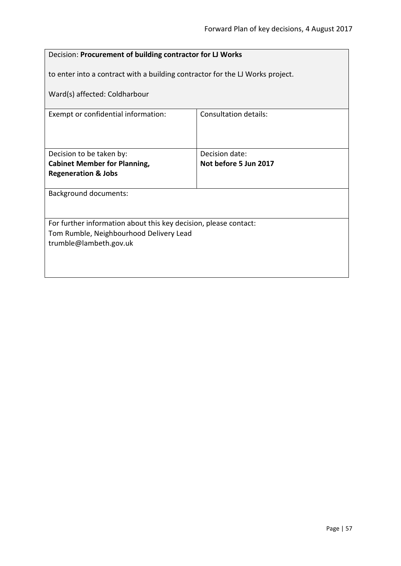| Decision: Procurement of building contractor for LJ Works                     |                       |  |
|-------------------------------------------------------------------------------|-----------------------|--|
| to enter into a contract with a building contractor for the LJ Works project. |                       |  |
| Ward(s) affected: Coldharbour                                                 |                       |  |
| Consultation details:<br>Exempt or confidential information:                  |                       |  |
|                                                                               |                       |  |
| Decision to be taken by:                                                      | Decision date:        |  |
| <b>Cabinet Member for Planning,</b>                                           | Not before 5 Jun 2017 |  |
| <b>Regeneration &amp; Jobs</b>                                                |                       |  |
| <b>Background documents:</b>                                                  |                       |  |
|                                                                               |                       |  |
| For further information about this key decision, please contact:              |                       |  |
| Tom Rumble, Neighbourhood Delivery Lead                                       |                       |  |
| trumble@lambeth.gov.uk                                                        |                       |  |
|                                                                               |                       |  |
|                                                                               |                       |  |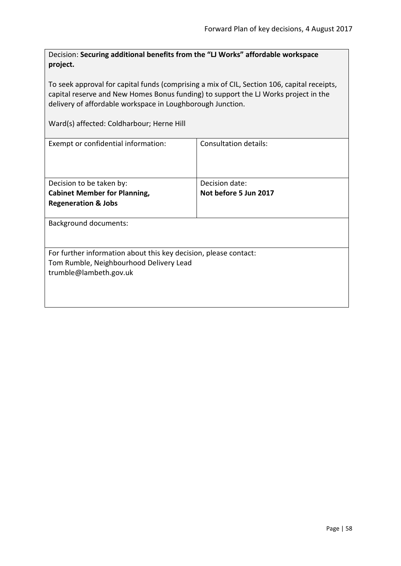Decision: **Securing additional benefits from the "LJ Works" affordable workspace project.**

To seek approval for capital funds (comprising a mix of CIL, Section 106, capital receipts, capital reserve and New Homes Bonus funding) to support the LJ Works project in the delivery of affordable workspace in Loughborough Junction.

Ward(s) affected: Coldharbour; Herne Hill

| Exempt or confidential information:                              | Consultation details:                   |
|------------------------------------------------------------------|-----------------------------------------|
| Decision to be taken by:<br><b>Cabinet Member for Planning,</b>  | Decision date:<br>Not before 5 Jun 2017 |
|                                                                  |                                         |
| <b>Regeneration &amp; Jobs</b>                                   |                                         |
| <b>Background documents:</b>                                     |                                         |
| For further information about this key decision, please contact: |                                         |
| Tom Rumble, Neighbourhood Delivery Lead                          |                                         |
|                                                                  |                                         |
| trumble@lambeth.gov.uk                                           |                                         |
|                                                                  |                                         |
|                                                                  |                                         |
|                                                                  |                                         |
|                                                                  |                                         |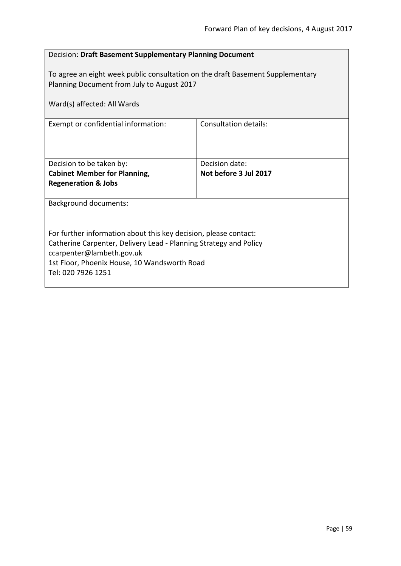| Decision: Draft Basement Supplementary Planning Document                                                                                                                                                                                 |                                         |  |
|------------------------------------------------------------------------------------------------------------------------------------------------------------------------------------------------------------------------------------------|-----------------------------------------|--|
| To agree an eight week public consultation on the draft Basement Supplementary<br>Planning Document from July to August 2017                                                                                                             |                                         |  |
| Ward(s) affected: All Wards                                                                                                                                                                                                              |                                         |  |
| Exempt or confidential information:                                                                                                                                                                                                      | Consultation details:                   |  |
| Decision to be taken by:<br><b>Cabinet Member for Planning,</b><br><b>Regeneration &amp; Jobs</b>                                                                                                                                        | Decision date:<br>Not before 3 Jul 2017 |  |
| <b>Background documents:</b>                                                                                                                                                                                                             |                                         |  |
| For further information about this key decision, please contact:<br>Catherine Carpenter, Delivery Lead - Planning Strategy and Policy<br>ccarpenter@lambeth.gov.uk<br>1st Floor, Phoenix House, 10 Wandsworth Road<br>Tel: 020 7926 1251 |                                         |  |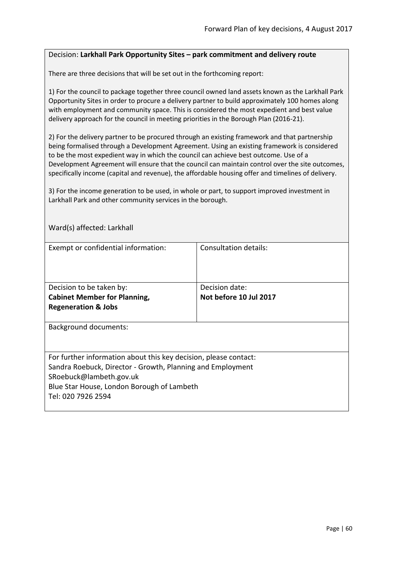#### Decision: **Larkhall Park Opportunity Sites – park commitment and delivery route**

There are three decisions that will be set out in the forthcoming report:

1) For the council to package together three council owned land assets known as the Larkhall Park Opportunity Sites in order to procure a delivery partner to build approximately 100 homes along with employment and community space. This is considered the most expedient and best value delivery approach for the council in meeting priorities in the Borough Plan (2016-21).

2) For the delivery partner to be procured through an existing framework and that partnership being formalised through a Development Agreement. Using an existing framework is considered to be the most expedient way in which the council can achieve best outcome. Use of a Development Agreement will ensure that the council can maintain control over the site outcomes, specifically income (capital and revenue), the affordable housing offer and timelines of delivery.

3) For the income generation to be used, in whole or part, to support improved investment in Larkhall Park and other community services in the borough.

| Exempt or confidential information:                                                                                            | <b>Consultation details:</b> |  |
|--------------------------------------------------------------------------------------------------------------------------------|------------------------------|--|
| Decision to be taken by:                                                                                                       | Decision date:               |  |
| <b>Cabinet Member for Planning,</b>                                                                                            | Not before 10 Jul 2017       |  |
| <b>Regeneration &amp; Jobs</b>                                                                                                 |                              |  |
| Background documents:                                                                                                          |                              |  |
| For further information about this key decision, please contact:<br>Sandra Roebuck, Director - Growth, Planning and Employment |                              |  |
| SRoebuck@lambeth.gov.uk                                                                                                        |                              |  |
| Blue Star House, London Borough of Lambeth                                                                                     |                              |  |
| Tel: 020 7926 2594                                                                                                             |                              |  |
|                                                                                                                                |                              |  |

Ward(s) affected: Larkhall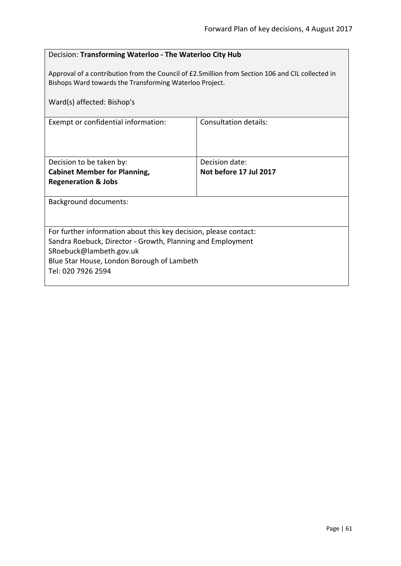|  | Decision: Transforming Waterloo - The Waterloo City Hub |  |
|--|---------------------------------------------------------|--|
|--|---------------------------------------------------------|--|

Approval of a contribution from the Council of £2.5million from Section 106 and CIL collected in Bishops Ward towards the Transforming Waterloo Project.

| Ward(s) affected: Bishop's                                       |  |  |
|------------------------------------------------------------------|--|--|
| Consultation details:                                            |  |  |
| Decision date:                                                   |  |  |
| Not before 17 Jul 2017                                           |  |  |
|                                                                  |  |  |
| <b>Background documents:</b>                                     |  |  |
| For further information about this key decision, please contact: |  |  |
| Sandra Roebuck, Director - Growth, Planning and Employment       |  |  |
| SRoebuck@lambeth.gov.uk                                          |  |  |
| Blue Star House, London Borough of Lambeth                       |  |  |
|                                                                  |  |  |
|                                                                  |  |  |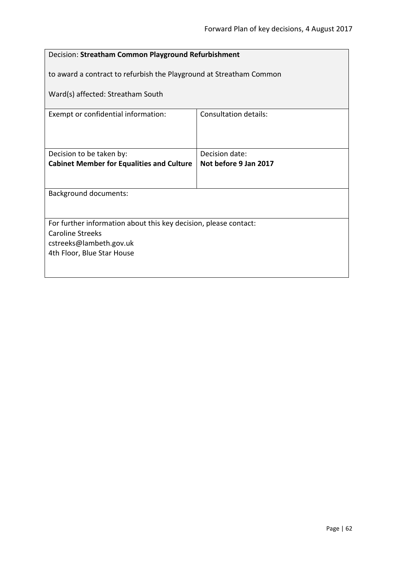| Decision: Streatham Common Playground Refurbishment                 |                              |  |
|---------------------------------------------------------------------|------------------------------|--|
| to award a contract to refurbish the Playground at Streatham Common |                              |  |
| Ward(s) affected: Streatham South                                   |                              |  |
| Exempt or confidential information:                                 | <b>Consultation details:</b> |  |
|                                                                     |                              |  |
| Decision to be taken by:                                            | Decision date:               |  |
| <b>Cabinet Member for Equalities and Culture</b>                    | Not before 9 Jan 2017        |  |
|                                                                     |                              |  |
| <b>Background documents:</b>                                        |                              |  |
|                                                                     |                              |  |
| For further information about this key decision, please contact:    |                              |  |
| <b>Caroline Streeks</b><br>cstreeks@lambeth.gov.uk                  |                              |  |
| 4th Floor, Blue Star House                                          |                              |  |
|                                                                     |                              |  |
|                                                                     |                              |  |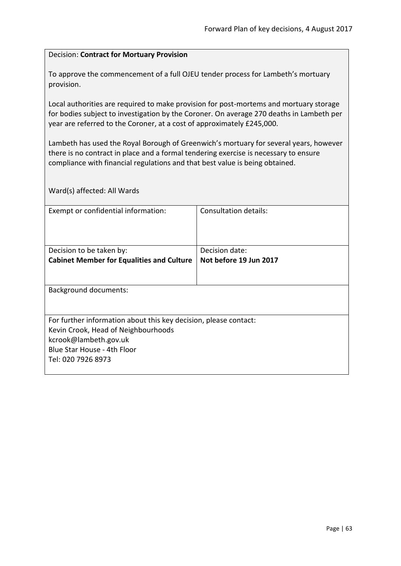#### Decision: **Contract for Mortuary Provision**

To approve the commencement of a full OJEU tender process for Lambeth's mortuary provision.

Local authorities are required to make provision for post-mortems and mortuary storage for bodies subject to investigation by the Coroner. On average 270 deaths in Lambeth per year are referred to the Coroner, at a cost of approximately £245,000.

Lambeth has used the Royal Borough of Greenwich's mortuary for several years, however there is no contract in place and a formal tendering exercise is necessary to ensure compliance with financial regulations and that best value is being obtained.

| Exempt or confidential information:                              | Consultation details:  |
|------------------------------------------------------------------|------------------------|
|                                                                  |                        |
|                                                                  |                        |
| Decision to be taken by:                                         | Decision date:         |
| <b>Cabinet Member for Equalities and Culture</b>                 | Not before 19 Jun 2017 |
|                                                                  |                        |
|                                                                  |                        |
| <b>Background documents:</b>                                     |                        |
|                                                                  |                        |
|                                                                  |                        |
| For further information about this key decision, please contact: |                        |
| Kevin Crook, Head of Neighbourhoods                              |                        |
| kcrook@lambeth.gov.uk                                            |                        |
| Blue Star House - 4th Floor                                      |                        |
| Tel: 020 7926 8973                                               |                        |
|                                                                  |                        |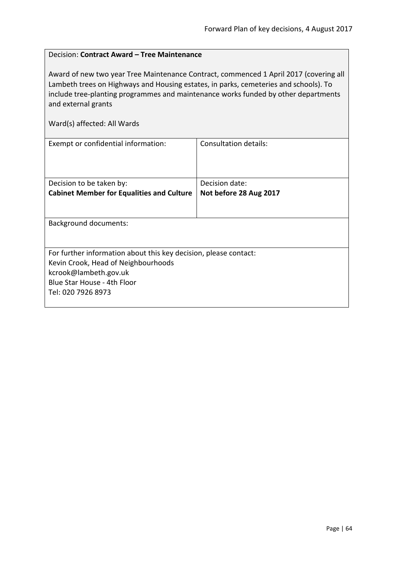# Decision: **Contract Award – Tree Maintenance**

Award of new two year Tree Maintenance Contract, commenced 1 April 2017 (covering all Lambeth trees on Highways and Housing estates, in parks, cemeteries and schools). To include tree-planting programmes and maintenance works funded by other departments and external grants

| Exempt or confidential information:                              | Consultation details:  |
|------------------------------------------------------------------|------------------------|
| Decision to be taken by:                                         | Decision date:         |
| <b>Cabinet Member for Equalities and Culture</b>                 | Not before 28 Aug 2017 |
|                                                                  |                        |
| <b>Background documents:</b>                                     |                        |
| For further information about this key decision, please contact: |                        |
| Kevin Crook, Head of Neighbourhoods                              |                        |
| kcrook@lambeth.gov.uk                                            |                        |
| Blue Star House - 4th Floor                                      |                        |
| Tel: 020 7926 8973                                               |                        |
|                                                                  |                        |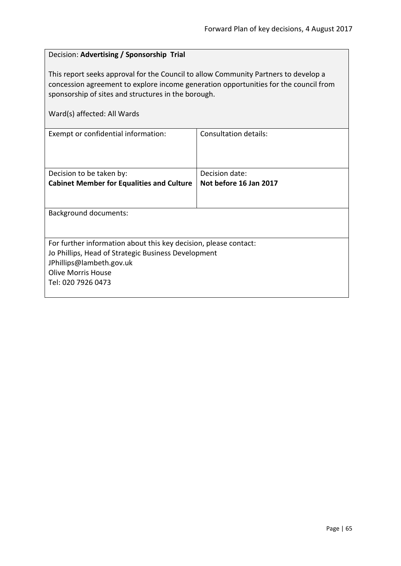# Decision: **Advertising / Sponsorship Trial** This report seeks approval for the Council to allow Community Partners to develop a concession agreement to explore income generation opportunities for the council from sponsorship of sites and structures in the borough. Ward(s) affected: All Wards

| Consultation details:                                                                                                                                                                                  |  |  |
|--------------------------------------------------------------------------------------------------------------------------------------------------------------------------------------------------------|--|--|
| Decision date:                                                                                                                                                                                         |  |  |
| Not before 16 Jan 2017                                                                                                                                                                                 |  |  |
|                                                                                                                                                                                                        |  |  |
| <b>Background documents:</b>                                                                                                                                                                           |  |  |
| For further information about this key decision, please contact:<br>Jo Phillips, Head of Strategic Business Development<br>JPhillips@lambeth.gov.uk<br><b>Olive Morris House</b><br>Tel: 020 7926 0473 |  |  |
|                                                                                                                                                                                                        |  |  |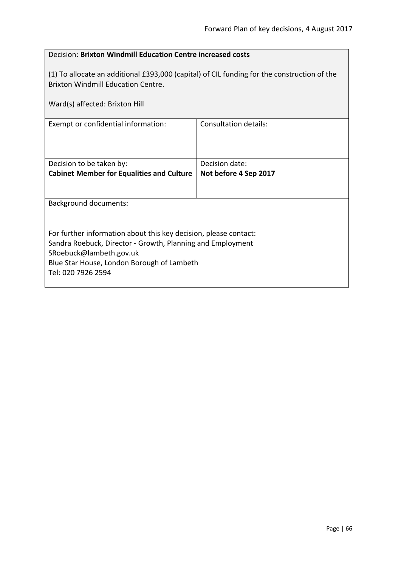| Decision: Brixton Windmill Education Centre increased costs                                                                                                                |                                         |  |
|----------------------------------------------------------------------------------------------------------------------------------------------------------------------------|-----------------------------------------|--|
| (1) To allocate an additional £393,000 (capital) of CIL funding for the construction of the<br><b>Brixton Windmill Education Centre.</b><br>Ward(s) affected: Brixton Hill |                                         |  |
| Exempt or confidential information:                                                                                                                                        | Consultation details:                   |  |
|                                                                                                                                                                            |                                         |  |
| Decision to be taken by:<br><b>Cabinet Member for Equalities and Culture</b>                                                                                               | Decision date:<br>Not before 4 Sep 2017 |  |
|                                                                                                                                                                            |                                         |  |
| <b>Background documents:</b>                                                                                                                                               |                                         |  |
| For further information about this key decision, please contact:                                                                                                           |                                         |  |
| Sandra Roebuck, Director - Growth, Planning and Employment                                                                                                                 |                                         |  |
| SRoebuck@lambeth.gov.uk<br>Blue Star House, London Borough of Lambeth                                                                                                      |                                         |  |
| Tel: 020 7926 2594                                                                                                                                                         |                                         |  |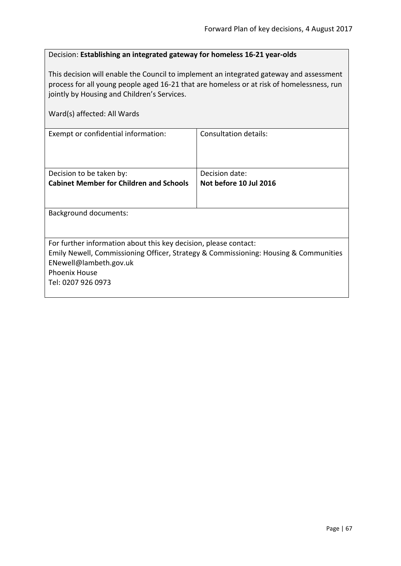# Decision: **Establishing an integrated gateway for homeless 16-21 year-olds**

This decision will enable the Council to implement an integrated gateway and assessment process for all young people aged 16-21 that are homeless or at risk of homelessness, run jointly by Housing and Children's Services.

| Consultation details:                                                                                          |  |
|----------------------------------------------------------------------------------------------------------------|--|
| Decision date:                                                                                                 |  |
| Not before 10 Jul 2016                                                                                         |  |
|                                                                                                                |  |
|                                                                                                                |  |
| For further information about this key decision, please contact:                                               |  |
| Emily Newell, Commissioning Officer, Strategy & Commissioning: Housing & Communities<br>ENewell@lambeth.gov.uk |  |
|                                                                                                                |  |
|                                                                                                                |  |
|                                                                                                                |  |
|                                                                                                                |  |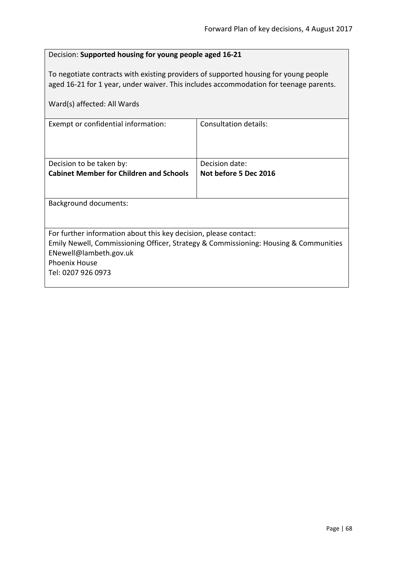# Decision: **Supported housing for young people aged 16-21**

To negotiate contracts with existing providers of supported housing for young people aged 16-21 for 1 year, under waiver. This includes accommodation for teenage parents.

| Ward(s) affected: All Wards                                                                                                                                                                                                      |                       |
|----------------------------------------------------------------------------------------------------------------------------------------------------------------------------------------------------------------------------------|-----------------------|
| Exempt or confidential information:                                                                                                                                                                                              | Consultation details: |
| Decision to be taken by:                                                                                                                                                                                                         | Decision date:        |
| <b>Cabinet Member for Children and Schools</b>                                                                                                                                                                                   | Not before 5 Dec 2016 |
| <b>Background documents:</b>                                                                                                                                                                                                     |                       |
| For further information about this key decision, please contact:<br>Emily Newell, Commissioning Officer, Strategy & Commissioning: Housing & Communities<br>ENewell@lambeth.gov.uk<br><b>Phoenix House</b><br>Tel: 0207 926 0973 |                       |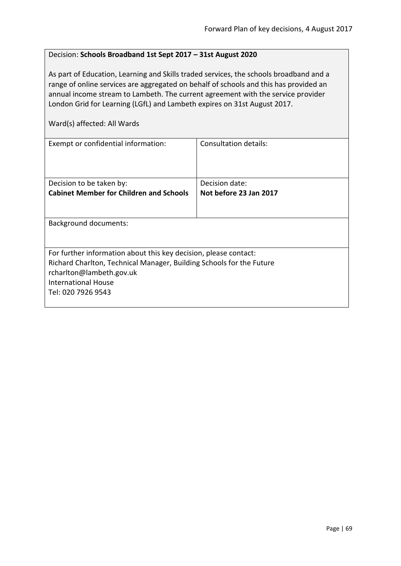# Decision: **Schools Broadband 1st Sept 2017 – 31st August 2020**

As part of Education, Learning and Skills traded services, the schools broadband and a range of online services are aggregated on behalf of schools and this has provided an annual income stream to Lambeth. The current agreement with the service provider London Grid for Learning (LGfL) and Lambeth expires on 31st August 2017.

| Exempt or confidential information:                                                                                                                                                                                      | Consultation details:  |
|--------------------------------------------------------------------------------------------------------------------------------------------------------------------------------------------------------------------------|------------------------|
| Decision to be taken by:                                                                                                                                                                                                 | Decision date:         |
| <b>Cabinet Member for Children and Schools</b>                                                                                                                                                                           | Not before 23 Jan 2017 |
|                                                                                                                                                                                                                          |                        |
| Background documents:                                                                                                                                                                                                    |                        |
| For further information about this key decision, please contact:<br>Richard Charlton, Technical Manager, Building Schools for the Future<br>rcharlton@lambeth.gov.uk<br><b>International House</b><br>Tel: 020 7926 9543 |                        |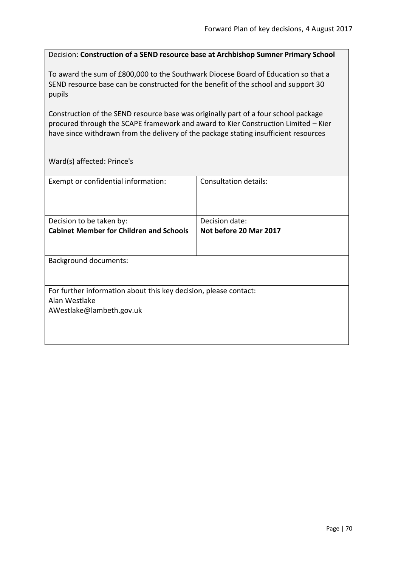Decision: **Construction of a SEND resource base at Archbishop Sumner Primary School**

To award the sum of £800,000 to the Southwark Diocese Board of Education so that a SEND resource base can be constructed for the benefit of the school and support 30 pupils

Construction of the SEND resource base was originally part of a four school package procured through the SCAPE framework and award to Kier Construction Limited – Kier have since withdrawn from the delivery of the package stating insufficient resources

Ward(s) affected: Prince's

| Exempt or confidential information:                                               | Consultation details:  |
|-----------------------------------------------------------------------------------|------------------------|
|                                                                                   |                        |
| Decision to be taken by:                                                          | Decision date:         |
| <b>Cabinet Member for Children and Schools</b>                                    | Not before 20 Mar 2017 |
|                                                                                   |                        |
| <b>Background documents:</b>                                                      |                        |
| For further information about this key decision, please contact:<br>Alan Westlake |                        |
| AWestlake@lambeth.gov.uk                                                          |                        |
|                                                                                   |                        |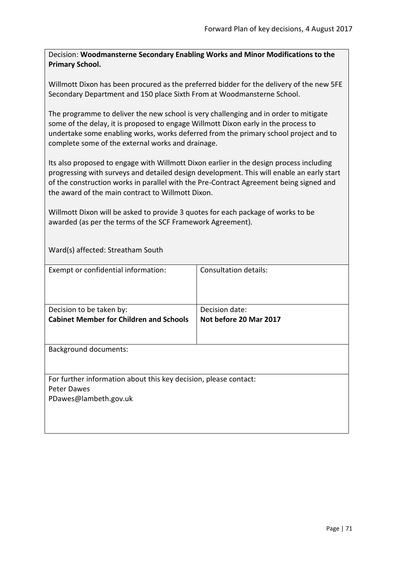Decision: **Woodmansterne Secondary Enabling Works and Minor Modifications to the Primary School.**

Willmott Dixon has been procured as the preferred bidder for the delivery of the new 5FE Secondary Department and 150 place Sixth From at Woodmansterne School.

The programme to deliver the new school is very challenging and in order to mitigate some of the delay, it is proposed to engage Willmott Dixon early in the process to undertake some enabling works, works deferred from the primary school project and to complete some of the external works and drainage.

Its also proposed to engage with Willmott Dixon earlier in the design process including progressing with surveys and detailed design development. This will enable an early start of the construction works in parallel with the Pre-Contract Agreement being signed and the award of the main contract to Willmott Dixon.

Willmott Dixon will be asked to provide 3 quotes for each package of works to be awarded (as per the terms of the SCF Framework Agreement).

Ward(s) affected: Streatham South

| Exempt or confidential information:                                                                      | <b>Consultation details:</b>             |
|----------------------------------------------------------------------------------------------------------|------------------------------------------|
| Decision to be taken by:<br><b>Cabinet Member for Children and Schools</b>                               | Decision date:<br>Not before 20 Mar 2017 |
| <b>Background documents:</b>                                                                             |                                          |
| For further information about this key decision, please contact:<br>Peter Dawes<br>PDawes@lambeth.gov.uk |                                          |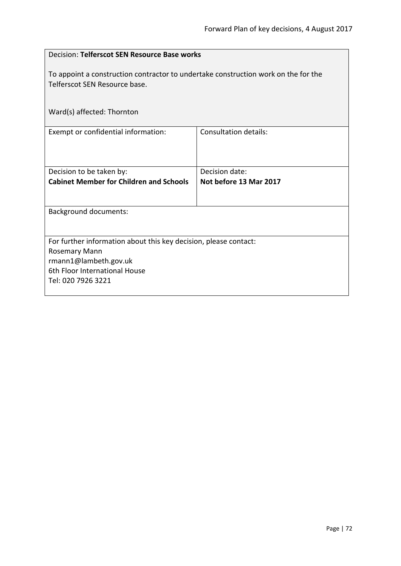| Decision: Telferscot SEN Resource Base works                                                                        |                              |
|---------------------------------------------------------------------------------------------------------------------|------------------------------|
| To appoint a construction contractor to undertake construction work on the for the<br>Telferscot SEN Resource base. |                              |
| Ward(s) affected: Thornton                                                                                          |                              |
| Exempt or confidential information:                                                                                 | <b>Consultation details:</b> |
| Decision to be taken by:                                                                                            | Decision date:               |
| <b>Cabinet Member for Children and Schools</b>                                                                      | Not before 13 Mar 2017       |
| <b>Background documents:</b>                                                                                        |                              |
| For further information about this key decision, please contact:                                                    |                              |
| Rosemary Mann                                                                                                       |                              |
| rmann1@lambeth.gov.uk                                                                                               |                              |
| 6th Floor International House                                                                                       |                              |
| Tel: 020 7926 3221                                                                                                  |                              |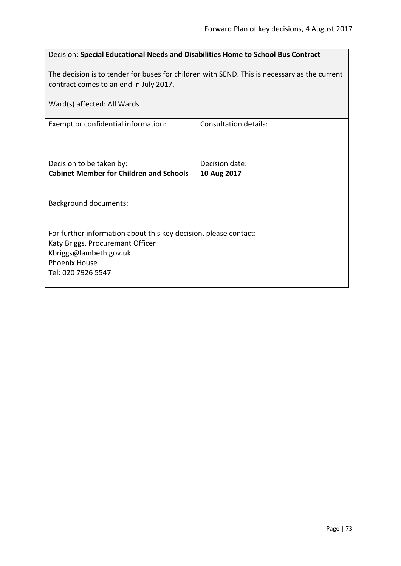| Decision: Special Educational Needs and Disabilities Home to School Bus Contract |
|----------------------------------------------------------------------------------|
|----------------------------------------------------------------------------------|

The decision is to tender for buses for children with SEND. This is necessary as the current contract comes to an end in July 2017.

Ward(s) affected: All Wards

| Exempt or confidential information: | Consultation details: |
|-------------------------------------|-----------------------|
|                                     |                       |
|                                     |                       |

| Decision to be taken by:                                         | Decision date: |  |
|------------------------------------------------------------------|----------------|--|
| <b>Cabinet Member for Children and Schools</b>                   | 10 Aug 2017    |  |
|                                                                  |                |  |
|                                                                  |                |  |
| <b>Background documents:</b>                                     |                |  |
|                                                                  |                |  |
|                                                                  |                |  |
| For further information about this key decision, please contact: |                |  |
| Katy Briggs, Procuremant Officer                                 |                |  |
| Kbriggs@lambeth.gov.uk                                           |                |  |
| <b>Phoenix House</b>                                             |                |  |
| Tel: 020 7926 5547                                               |                |  |
|                                                                  |                |  |